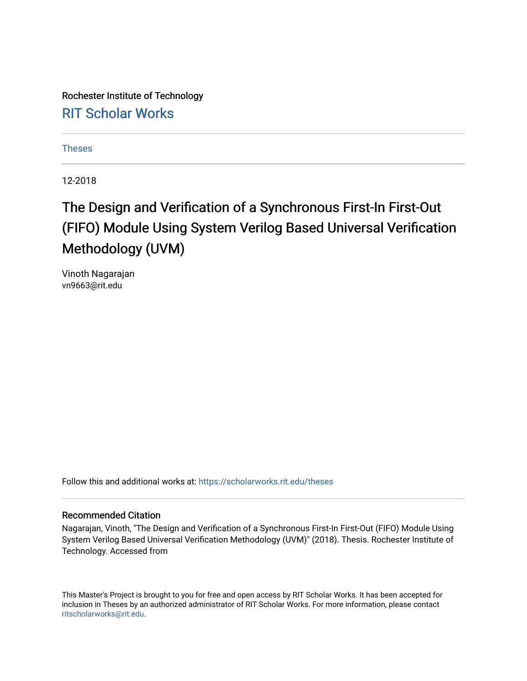Rochester Institute of Technology [RIT Scholar Works](https://scholarworks.rit.edu/)

[Theses](https://scholarworks.rit.edu/theses) 

12-2018

### The Design and Verification of a Synchronous First-In First-Out (FIFO) Module Using System Verilog Based Universal Verification Methodology (UVM)

Vinoth Nagarajan vn9663@rit.edu

Follow this and additional works at: [https://scholarworks.rit.edu/theses](https://scholarworks.rit.edu/theses?utm_source=scholarworks.rit.edu%2Ftheses%2F9980&utm_medium=PDF&utm_campaign=PDFCoverPages) 

#### Recommended Citation

Nagarajan, Vinoth, "The Design and Verification of a Synchronous First-In First-Out (FIFO) Module Using System Verilog Based Universal Verification Methodology (UVM)" (2018). Thesis. Rochester Institute of Technology. Accessed from

This Master's Project is brought to you for free and open access by RIT Scholar Works. It has been accepted for inclusion in Theses by an authorized administrator of RIT Scholar Works. For more information, please contact [ritscholarworks@rit.edu](mailto:ritscholarworks@rit.edu).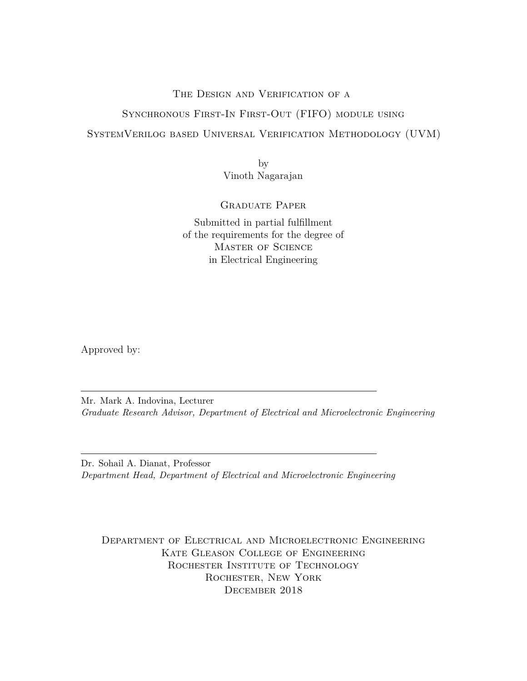#### THE DESIGN AND VERIFICATION OF A

#### Synchronous First-In First-Out (FIFO) module using

#### SystemVerilog based Universal Verification Methodology (UVM)

by Vinoth Nagarajan

#### Graduate Paper

Submitted in partial fulfillment of the requirements for the degree of Master of Science in Electrical Engineering

Approved by:

Mr. Mark A. Indovina, Lecturer *Graduate Research Advisor, Department of Electrical and Microelectronic Engineering*

Dr. Sohail A. Dianat, Professor *Department Head, Department of Electrical and Microelectronic Engineering*

Department of Electrical and Microelectronic Engineering Kate Gleason College of Engineering ROCHESTER INSTITUTE OF TECHNOLOGY Rochester, New York December 2018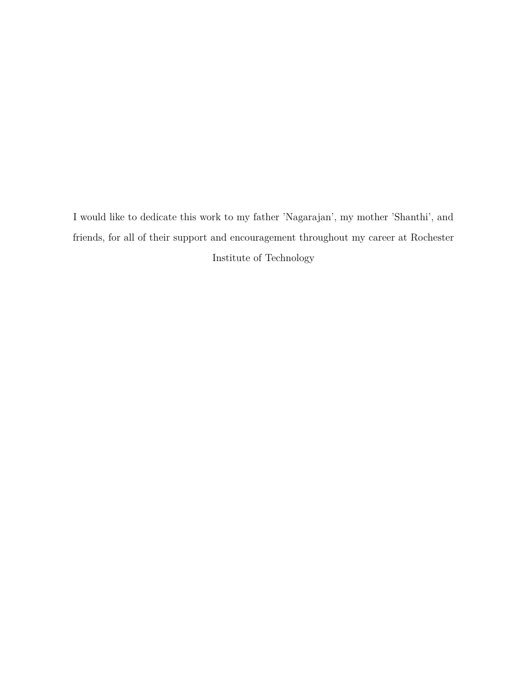I would like to dedicate this work to my father 'Nagarajan', my mother 'Shanthi', and friends, for all of their support and encouragement throughout my career at Rochester Institute of Technology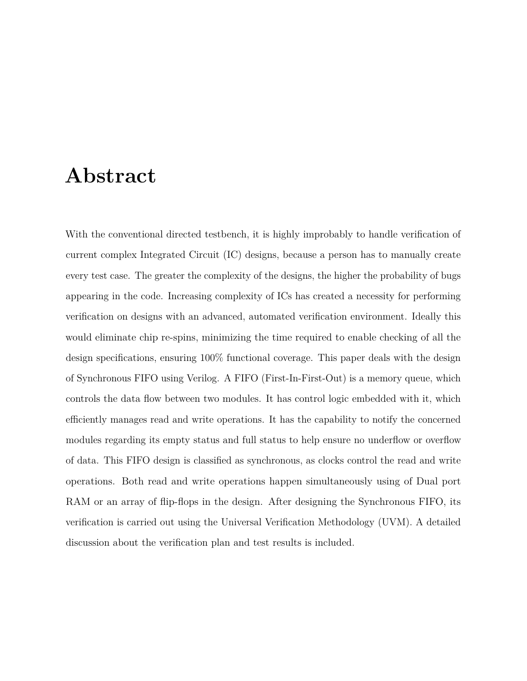### <span id="page-3-0"></span>**Abstract**

With the conventional directed testbench, it is highly improbably to handle verification of current complex Integrated Circuit (IC) designs, because a person has to manually create every test case. The greater the complexity of the designs, the higher the probability of bugs appearing in the code. Increasing complexity of ICs has created a necessity for performing verification on designs with an advanced, automated verification environment. Ideally this would eliminate chip re-spins, minimizing the time required to enable checking of all the design specifications, ensuring 100% functional coverage. This paper deals with the design of Synchronous FIFO using Verilog. A FIFO (First-In-First-Out) is a memory queue, which controls the data flow between two modules. It has control logic embedded with it, which efficiently manages read and write operations. It has the capability to notify the concerned modules regarding its empty status and full status to help ensure no underflow or overflow of data. This FIFO design is classified as synchronous, as clocks control the read and write operations. Both read and write operations happen simultaneously using of Dual port RAM or an array of flip-flops in the design. After designing the Synchronous FIFO, its verification is carried out using the Universal Verification Methodology (UVM). A detailed discussion about the verification plan and test results is included.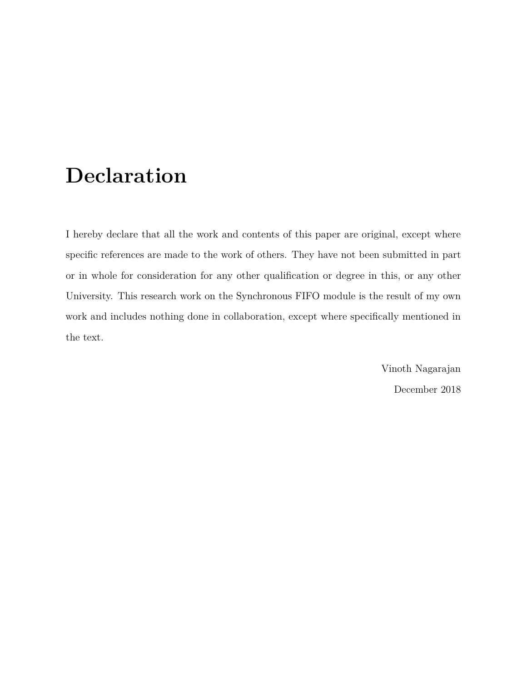# <span id="page-4-0"></span>**Declaration**

I hereby declare that all the work and contents of this paper are original, except where specific references are made to the work of others. They have not been submitted in part or in whole for consideration for any other qualification or degree in this, or any other University. This research work on the Synchronous FIFO module is the result of my own work and includes nothing done in collaboration, except where specifically mentioned in the text.

> Vinoth Nagarajan December 2018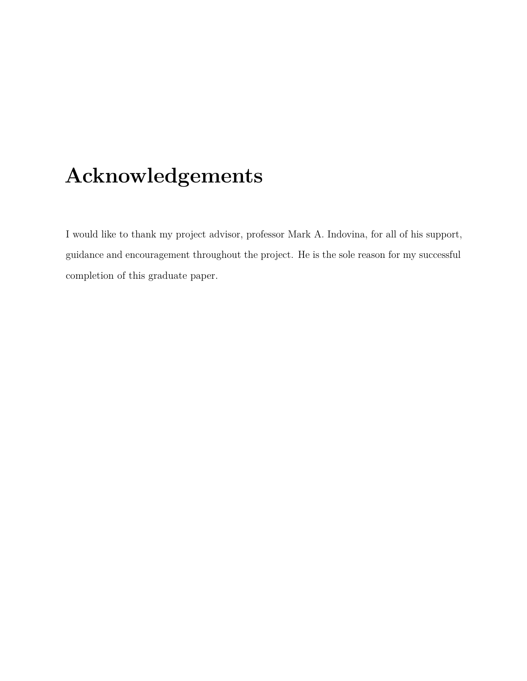# <span id="page-5-0"></span>**Acknowledgements**

I would like to thank my project advisor, professor Mark A. Indovina, for all of his support, guidance and encouragement throughout the project. He is the sole reason for my successful completion of this graduate paper.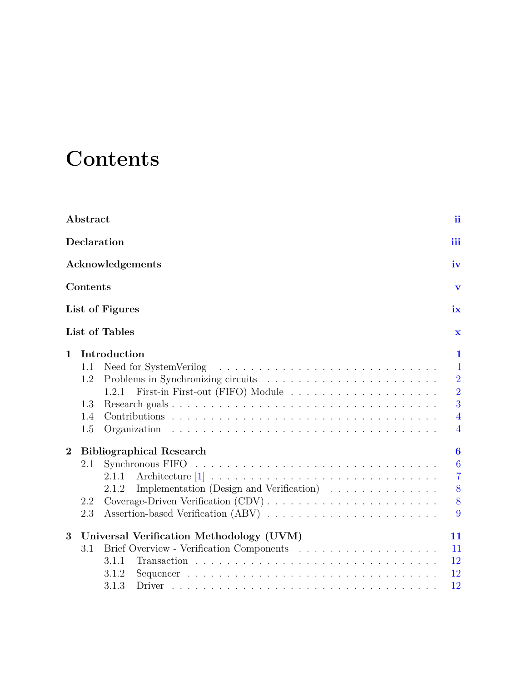# <span id="page-6-0"></span>**Contents**

|                | Abstract               |                                                                                 | <i>ii</i>               |  |  |  |  |  |  |  |  |  |
|----------------|------------------------|---------------------------------------------------------------------------------|-------------------------|--|--|--|--|--|--|--|--|--|
|                |                        | Declaration                                                                     | iii                     |  |  |  |  |  |  |  |  |  |
|                | Acknowledgements<br>iv |                                                                                 |                         |  |  |  |  |  |  |  |  |  |
|                | Contents               |                                                                                 | $\overline{\mathbf{V}}$ |  |  |  |  |  |  |  |  |  |
|                |                        | List of Figures                                                                 | $i\mathbf{x}$           |  |  |  |  |  |  |  |  |  |
|                |                        | List of Tables                                                                  | $\mathbf x$             |  |  |  |  |  |  |  |  |  |
| $\mathbf{1}$   |                        | Introduction                                                                    | $\mathbf{1}$            |  |  |  |  |  |  |  |  |  |
|                | 1.1                    | Need for SystemVerilog                                                          | $\mathbf{1}$            |  |  |  |  |  |  |  |  |  |
|                | 1.2                    |                                                                                 | $\overline{2}$          |  |  |  |  |  |  |  |  |  |
|                |                        | 1.2.1                                                                           | $\overline{2}$          |  |  |  |  |  |  |  |  |  |
|                | 1.3                    |                                                                                 | $\overline{3}$          |  |  |  |  |  |  |  |  |  |
|                | 1.4                    |                                                                                 | $\overline{4}$          |  |  |  |  |  |  |  |  |  |
|                | 1.5                    |                                                                                 | $\overline{4}$          |  |  |  |  |  |  |  |  |  |
| $\overline{2}$ |                        | <b>Bibliographical Research</b>                                                 | $\bf{6}$                |  |  |  |  |  |  |  |  |  |
|                | 2.1                    |                                                                                 | 6                       |  |  |  |  |  |  |  |  |  |
|                |                        | 2.1.1                                                                           | $\overline{7}$          |  |  |  |  |  |  |  |  |  |
|                |                        | Implementation (Design and Verification) $\ldots \ldots \ldots \ldots$<br>2.1.2 | 8                       |  |  |  |  |  |  |  |  |  |
|                | 2.2                    |                                                                                 | 8                       |  |  |  |  |  |  |  |  |  |
|                | 2.3                    |                                                                                 | 9                       |  |  |  |  |  |  |  |  |  |
| 3              |                        | Universal Verification Methodology (UVM)                                        | 11                      |  |  |  |  |  |  |  |  |  |
|                | 3.1                    |                                                                                 | 11                      |  |  |  |  |  |  |  |  |  |
|                |                        | 3.1.1                                                                           | 12                      |  |  |  |  |  |  |  |  |  |
|                |                        | 3.1.2                                                                           | 12                      |  |  |  |  |  |  |  |  |  |
|                |                        | 3.1.3                                                                           | 12                      |  |  |  |  |  |  |  |  |  |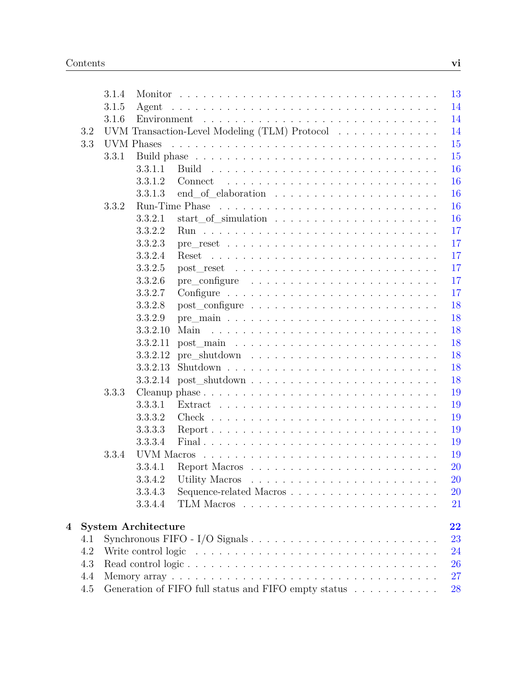|   |     | 3.1.4 |                            |                                                                                          | 13        |
|---|-----|-------|----------------------------|------------------------------------------------------------------------------------------|-----------|
|   |     | 3.1.5 | Agent                      |                                                                                          | 14        |
|   |     | 3.1.6 | Environment                |                                                                                          | 14        |
|   | 3.2 |       |                            | UVM Transaction-Level Modeling (TLM) Protocol                                            | 14        |
|   | 3.3 |       | <b>UVM</b> Phases          |                                                                                          | 15        |
|   |     | 3.3.1 |                            |                                                                                          | 15        |
|   |     |       | 3.3.1.1                    | Build                                                                                    | 16        |
|   |     |       | 3.3.1.2                    | Connect                                                                                  | 16        |
|   |     |       | 3.3.1.3                    |                                                                                          | 16        |
|   |     | 3.3.2 | Run-Time Phase             |                                                                                          | 16        |
|   |     |       | 3.3.2.1                    |                                                                                          | 16        |
|   |     |       | 3.3.2.2                    |                                                                                          | 17        |
|   |     |       | 3.3.2.3                    |                                                                                          | 17        |
|   |     |       | 3.3.2.4                    | Reset                                                                                    | 17        |
|   |     |       | 3.3.2.5                    |                                                                                          | 17        |
|   |     |       | 3.3.2.6                    |                                                                                          | 17        |
|   |     |       | 3.3.2.7                    |                                                                                          | 17        |
|   |     |       | 3.3.2.8                    |                                                                                          | 18        |
|   |     |       | 3.3.2.9                    |                                                                                          | 18        |
|   |     |       | 3.3.2.10                   | Main                                                                                     | 18        |
|   |     |       | 3.3.2.11                   |                                                                                          | 18        |
|   |     |       | 3.3.2.12                   |                                                                                          | 18        |
|   |     |       | 3.3.2.13                   | $Shutdown \dots \dots \dots \dots \dots \dots \dots \dots \dots \dots \dots \dots \dots$ | 18        |
|   |     |       | 3.3.2.14                   |                                                                                          | 18        |
|   |     | 3.3.3 |                            |                                                                                          | 19        |
|   |     |       | 3.3.3.1                    | $Extract \dots \dots \dots \dots \dots \dots \dots \dots \dots \dots \dots \dots$        | 19        |
|   |     |       | 3.3.3.2                    |                                                                                          | 19        |
|   |     |       | 3.3.3.3                    | $Report \dots \dots \dots \dots \dots \dots \dots \dots \dots \dots \dots \dots$         | 19        |
|   |     |       | 3.3.3.4                    |                                                                                          | 19        |
|   |     | 3.3.4 | UVM Macros                 |                                                                                          | 19        |
|   |     |       | 3.3.4.1                    |                                                                                          | 20        |
|   |     |       | 3.3.4.2                    |                                                                                          | <b>20</b> |
|   |     |       | 3.3.4.3                    | Sequence-related Macros                                                                  | 20        |
|   |     |       | 3.3.4.4                    |                                                                                          | 21        |
|   |     |       |                            |                                                                                          |           |
| 4 |     |       | <b>System Architecture</b> |                                                                                          | 22        |
|   | 4.1 |       |                            | Synchronous FIFO - I/O Signals $\ldots \ldots \ldots \ldots \ldots \ldots \ldots \ldots$ | 23        |
|   | 4.2 |       |                            |                                                                                          | 24        |
|   | 4.3 |       |                            |                                                                                          | 26        |
|   | 4.4 |       |                            |                                                                                          | 27        |
|   | 4.5 |       |                            | Generation of FIFO full status and FIFO empty status $\ldots \ldots \ldots \ldots$       | 28        |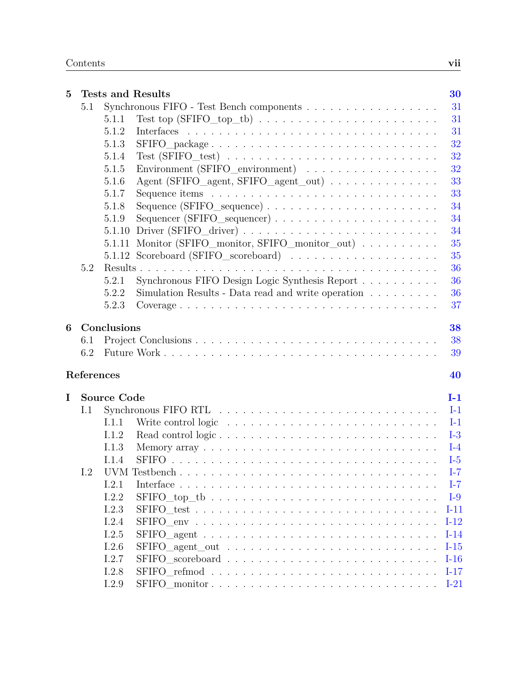| $\overline{5}$ |            |                    | <b>Tests and Results</b>                                                               | 30     |
|----------------|------------|--------------------|----------------------------------------------------------------------------------------|--------|
|                | 5.1        |                    |                                                                                        | 31     |
|                |            | 5.1.1              |                                                                                        | 31     |
|                |            | 5.1.2              |                                                                                        | 31     |
|                |            | 5.1.3              | SFIFO_package                                                                          | 32     |
|                |            | 5.1.4              | $Test (SFIFO\_test) \dots \dots \dots \dots \dots \dots \dots \dots \dots \dots$       | 32     |
|                |            | 5.1.5              | Environment (SFIFO_environment)                                                        | 32     |
|                |            | 5.1.6              | Agent (SFIFO_agent, SFIFO_agent_out)                                                   | 33     |
|                |            | 5.1.7              |                                                                                        | 33     |
|                |            | 5.1.8              |                                                                                        | 34     |
|                |            | 5.1.9              |                                                                                        | 34     |
|                |            |                    | 5.1.10 Driver (SFIFO_driver) $\ldots \ldots \ldots \ldots \ldots \ldots \ldots \ldots$ | 34     |
|                |            | 5.1.11             | Monitor (SFIFO_monitor, SFIFO_monitor_out)                                             | 35     |
|                |            | 5.1.12             |                                                                                        | 35     |
|                | 5.2        |                    |                                                                                        | 36     |
|                |            | 5.2.1              | Synchronous FIFO Design Logic Synthesis Report                                         | 36     |
|                |            | 5.2.2              | Simulation Results - Data read and write operation $\ldots \ldots \ldots$              | 36     |
|                |            | 5.2.3              |                                                                                        | 37     |
| 6              |            | Conclusions        |                                                                                        | 38     |
|                | 6.1        |                    |                                                                                        | 38     |
|                | 6.2        |                    |                                                                                        | 39     |
|                | References |                    |                                                                                        | 40     |
| I              |            | <b>Source Code</b> |                                                                                        | $I-1$  |
|                | I.1        |                    |                                                                                        | $I-1$  |
|                |            | I.1.1              |                                                                                        | $I-1$  |
|                |            | I.1.2              |                                                                                        | $I-3$  |
|                |            | 1.1.3              |                                                                                        | $I-4$  |
|                |            | I.1.4              |                                                                                        | $I-5$  |
|                | 1.2        |                    |                                                                                        | $I-7$  |
|                |            | I.2.1              |                                                                                        | $I-7$  |
|                |            | I.2.2              |                                                                                        | $I-9$  |
|                |            | I.2.3              |                                                                                        | $I-11$ |
|                |            | I.2.4              |                                                                                        | $I-12$ |
|                |            | I.2.5              |                                                                                        | $I-14$ |
|                |            | I.2.6              |                                                                                        | $I-15$ |
|                |            | I.2.7              |                                                                                        | $I-16$ |
|                |            | I.2.8              |                                                                                        | $I-17$ |
|                |            | I.2.9              |                                                                                        | $I-21$ |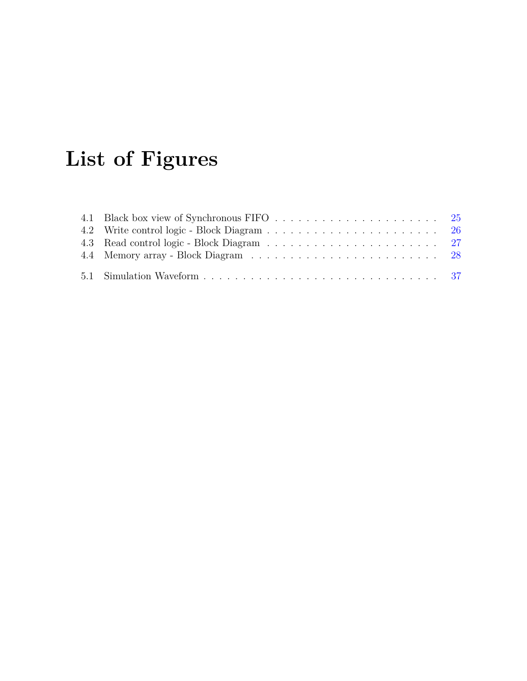# <span id="page-10-0"></span>**List of Figures**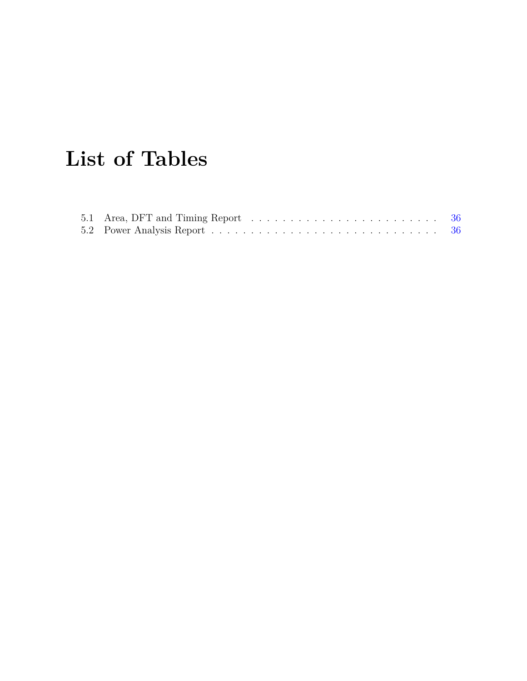# <span id="page-11-0"></span>**List of Tables**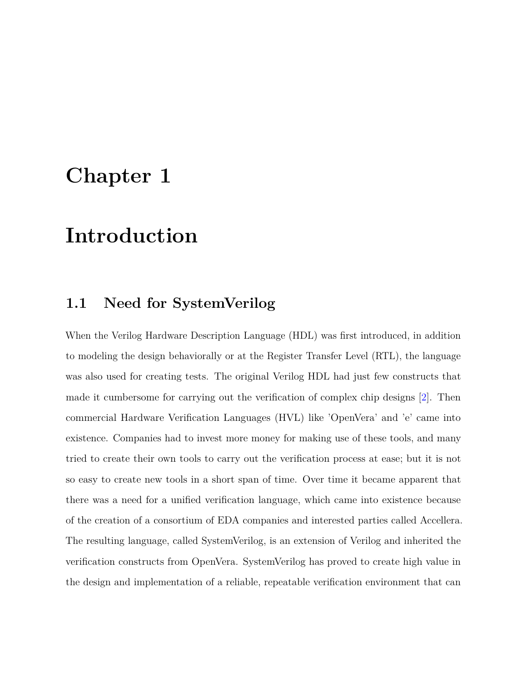# <span id="page-12-0"></span>**Chapter 1**

# **Introduction**

### <span id="page-12-1"></span>**1.1 Need for SystemVerilog**

When the Verilog Hardware Description Language (HDL) was first introduced, in addition to modeling the design behaviorally or at the Register Transfer Level (RTL), the language was also used for creating tests. The original Verilog HDL had just few constructs that made it cumbersome for carrying out the verification of complex chip designs [\[2\]](#page-51-2). Then commercial Hardware Verification Languages (HVL) like 'OpenVera' and 'e' came into existence. Companies had to invest more money for making use of these tools, and many tried to create their own tools to carry out the verification process at ease; but it is not so easy to create new tools in a short span of time. Over time it became apparent that there was a need for a unified verification language, which came into existence because of the creation of a consortium of EDA companies and interested parties called Accellera. The resulting language, called SystemVerilog, is an extension of Verilog and inherited the verification constructs from OpenVera. SystemVerilog has proved to create high value in the design and implementation of a reliable, repeatable verification environment that can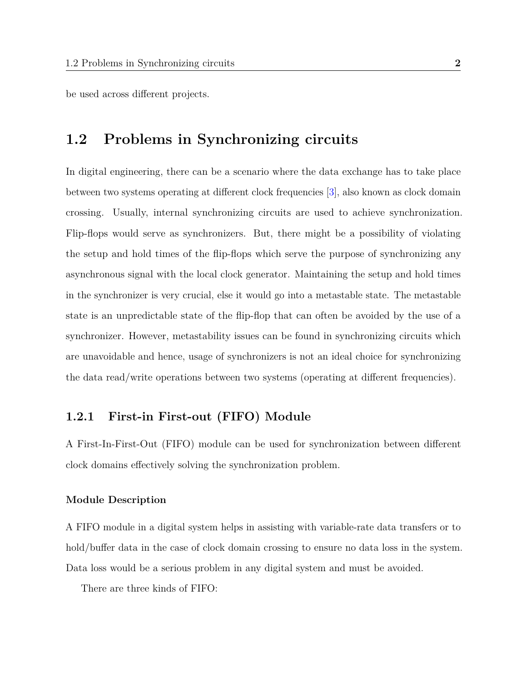be used across different projects.

### <span id="page-13-0"></span>**1.2 Problems in Synchronizing circuits**

In digital engineering, there can be a scenario where the data exchange has to take place between two systems operating at different clock frequencies [\[3\]](#page-51-3), also known as clock domain crossing. Usually, internal synchronizing circuits are used to achieve synchronization. Flip-flops would serve as synchronizers. But, there might be a possibility of violating the setup and hold times of the flip-flops which serve the purpose of synchronizing any asynchronous signal with the local clock generator. Maintaining the setup and hold times in the synchronizer is very crucial, else it would go into a metastable state. The metastable state is an unpredictable state of the flip-flop that can often be avoided by the use of a synchronizer. However, metastability issues can be found in synchronizing circuits which are unavoidable and hence, usage of synchronizers is not an ideal choice for synchronizing the data read/write operations between two systems (operating at different frequencies).

#### <span id="page-13-1"></span>**1.2.1 First-in First-out (FIFO) Module**

A First-In-First-Out (FIFO) module can be used for synchronization between different clock domains effectively solving the synchronization problem.

#### **Module Description**

A FIFO module in a digital system helps in assisting with variable-rate data transfers or to hold/buffer data in the case of clock domain crossing to ensure no data loss in the system. Data loss would be a serious problem in any digital system and must be avoided.

There are three kinds of FIFO: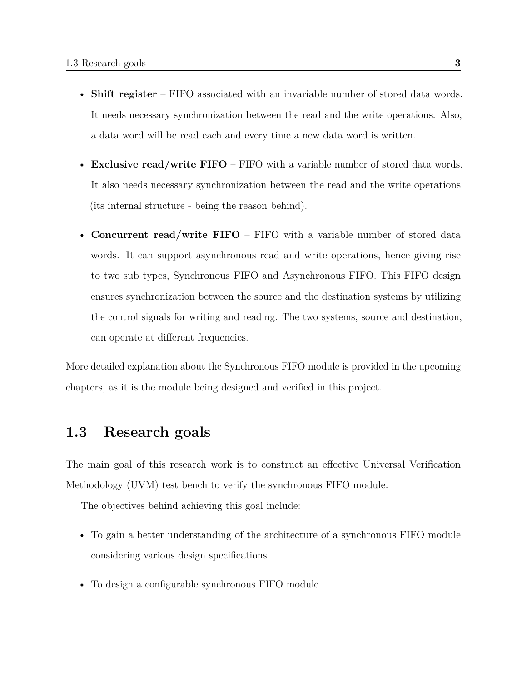- **Shift register** FIFO associated with an invariable number of stored data words. It needs necessary synchronization between the read and the write operations. Also, a data word will be read each and every time a new data word is written.
- **Exclusive read/write FIFO** FIFO with a variable number of stored data words. It also needs necessary synchronization between the read and the write operations (its internal structure - being the reason behind).
- **Concurrent read/write FIFO** FIFO with a variable number of stored data words. It can support asynchronous read and write operations, hence giving rise to two sub types, Synchronous FIFO and Asynchronous FIFO. This FIFO design ensures synchronization between the source and the destination systems by utilizing the control signals for writing and reading. The two systems, source and destination, can operate at different frequencies.

More detailed explanation about the Synchronous FIFO module is provided in the upcoming chapters, as it is the module being designed and verified in this project.

### <span id="page-14-0"></span>**1.3 Research goals**

The main goal of this research work is to construct an effective Universal Verification Methodology (UVM) test bench to verify the synchronous FIFO module.

The objectives behind achieving this goal include:

- To gain a better understanding of the architecture of a synchronous FIFO module considering various design specifications.
- To design a configurable synchronous FIFO module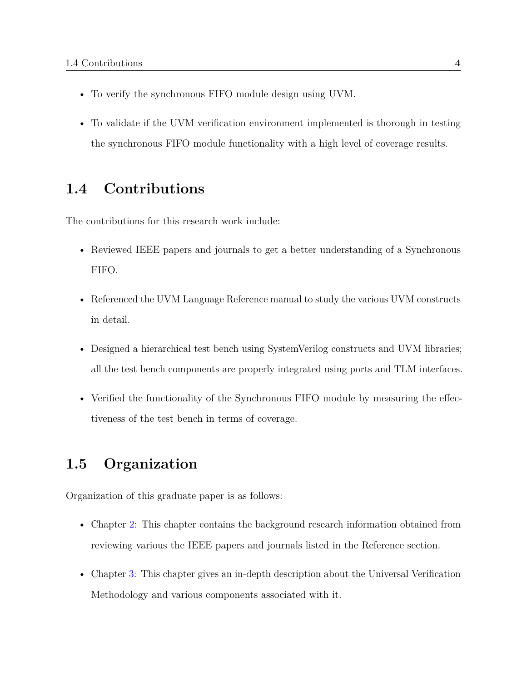- To verify the synchronous FIFO module design using UVM.
- To validate if the UVM verification environment implemented is thorough in testing the synchronous FIFO module functionality with a high level of coverage results.

### <span id="page-15-0"></span>**1.4 Contributions**

The contributions for this research work include:

- Reviewed IEEE papers and journals to get a better understanding of a Synchronous FIFO.
- Referenced the UVM Language Reference manual to study the various UVM constructs in detail.
- Designed a hierarchical test bench using SystemVerilog constructs and UVM libraries; all the test bench components are properly integrated using ports and TLM interfaces.
- Verified the functionality of the Synchronous FIFO module by measuring the effectiveness of the test bench in terms of coverage.

### <span id="page-15-1"></span>**1.5 Organization**

Organization of this graduate paper is as follows:

- Chapter [2:](#page-17-0) This chapter contains the background research information obtained from reviewing various the IEEE papers and journals listed in the Reference section.
- Chapter [3:](#page-22-0) This chapter gives an in-depth description about the Universal Verification Methodology and various components associated with it.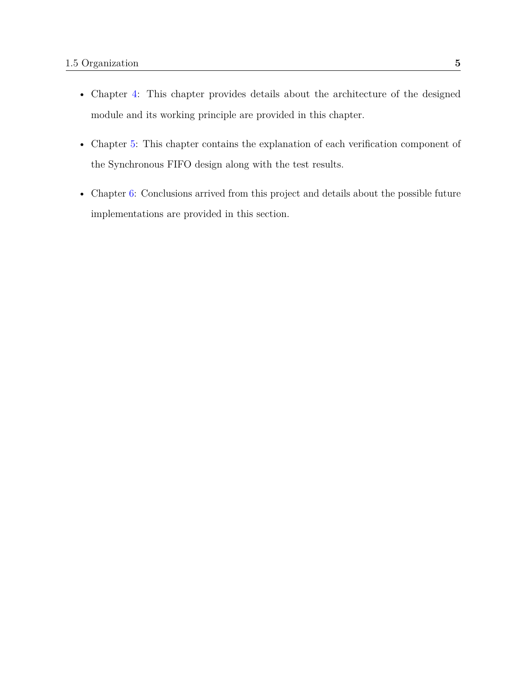- Chapter [4:](#page-33-0) This chapter provides details about the architecture of the designed module and its working principle are provided in this chapter.
- Chapter [5:](#page-41-0) This chapter contains the explanation of each verification component of the Synchronous FIFO design along with the test results.
- Chapter [6:](#page-49-0) Conclusions arrived from this project and details about the possible future implementations are provided in this section.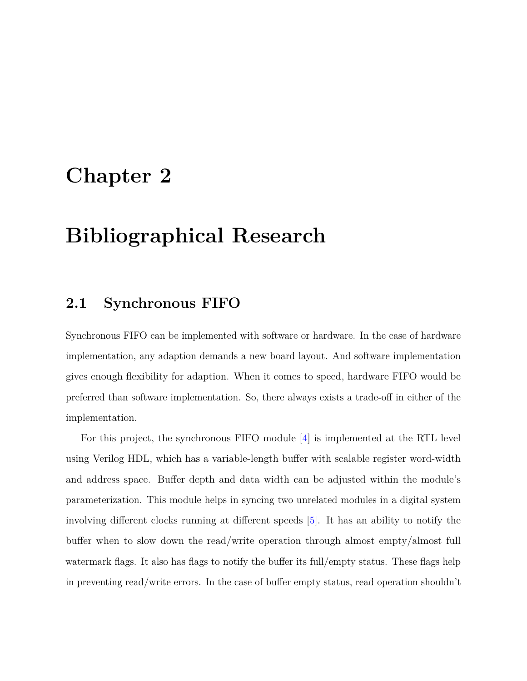# <span id="page-17-0"></span>**Chapter 2**

# **Bibliographical Research**

### <span id="page-17-1"></span>**2.1 Synchronous FIFO**

Synchronous FIFO can be implemented with software or hardware. In the case of hardware implementation, any adaption demands a new board layout. And software implementation gives enough flexibility for adaption. When it comes to speed, hardware FIFO would be preferred than software implementation. So, there always exists a trade-off in either of the implementation.

For this project, the synchronous FIFO module [\[4\]](#page-51-4) is implemented at the RTL level using Verilog HDL, which has a variable-length buffer with scalable register word-width and address space. Buffer depth and data width can be adjusted within the module's parameterization. This module helps in syncing two unrelated modules in a digital system involving different clocks running at different speeds [\[5\]](#page-51-5). It has an ability to notify the buffer when to slow down the read/write operation through almost empty/almost full watermark flags. It also has flags to notify the buffer its full/empty status. These flags help in preventing read/write errors. In the case of buffer empty status, read operation shouldn't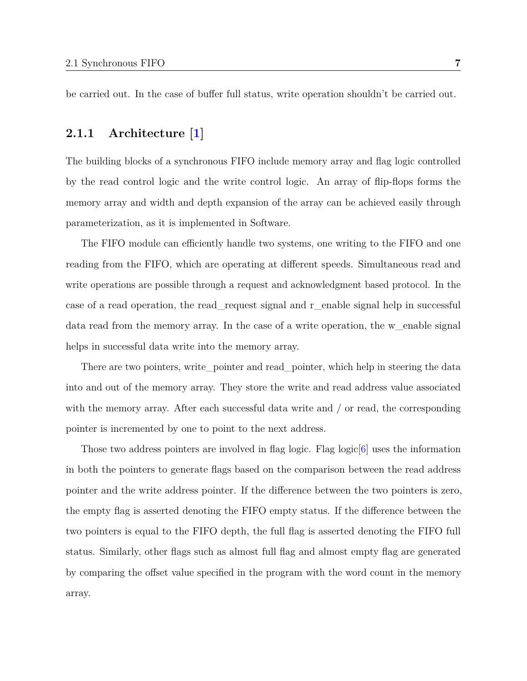be carried out. In the case of buffer full status, write operation shouldn't be carried out.

#### <span id="page-18-0"></span>**2.1.1 Architecture [\[1\]](#page-51-0)**

The building blocks of a synchronous FIFO include memory array and flag logic controlled by the read control logic and the write control logic. An array of flip-flops forms the memory array and width and depth expansion of the array can be achieved easily through parameterization, as it is implemented in Software.

The FIFO module can efficiently handle two systems, one writing to the FIFO and one reading from the FIFO, which are operating at different speeds. Simultaneous read and write operations are possible through a request and acknowledgment based protocol. In the case of a read operation, the read\_request signal and r\_enable signal help in successful data read from the memory array. In the case of a write operation, the w\_enable signal helps in successful data write into the memory array.

There are two pointers, write\_pointer and read\_pointer, which help in steering the data into and out of the memory array. They store the write and read address value associated with the memory array. After each successful data write and / or read, the corresponding pointer is incremented by one to point to the next address.

Those two address pointers are involved in flag logic. Flag logic  $|6|$  uses the information in both the pointers to generate flags based on the comparison between the read address pointer and the write address pointer. If the difference between the two pointers is zero, the empty flag is asserted denoting the FIFO empty status. If the difference between the two pointers is equal to the FIFO depth, the full flag is asserted denoting the FIFO full status. Similarly, other flags such as almost full flag and almost empty flag are generated by comparing the offset value specified in the program with the word count in the memory array.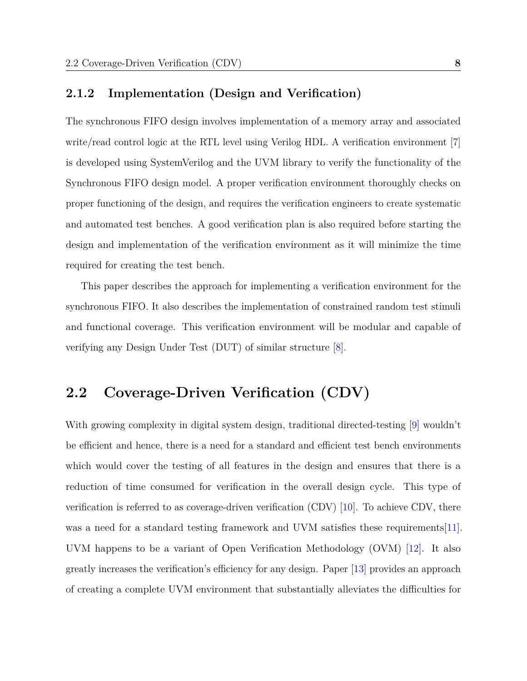#### <span id="page-19-0"></span>**2.1.2 Implementation (Design and Verification)**

The synchronous FIFO design involves implementation of a memory array and associated write/read control logic at the RTL level using Verilog HDL. A verification environment [\[7\]](#page-52-1) is developed using SystemVerilog and the UVM library to verify the functionality of the Synchronous FIFO design model. A proper verification environment thoroughly checks on proper functioning of the design, and requires the verification engineers to create systematic and automated test benches. A good verification plan is also required before starting the design and implementation of the verification environment as it will minimize the time required for creating the test bench.

This paper describes the approach for implementing a verification environment for the synchronous FIFO. It also describes the implementation of constrained random test stimuli and functional coverage. This verification environment will be modular and capable of verifying any Design Under Test (DUT) of similar structure [\[8\]](#page-52-2).

### <span id="page-19-1"></span>**2.2 Coverage-Driven Verification (CDV)**

With growing complexity in digital system design, traditional directed-testing [\[9\]](#page-52-3) wouldn't be efficient and hence, there is a need for a standard and efficient test bench environments which would cover the testing of all features in the design and ensures that there is a reduction of time consumed for verification in the overall design cycle. This type of verification is referred to as coverage-driven verification (CDV) [\[10\]](#page-52-4). To achieve CDV, there was a need for a standard testing framework and UVM satisfies these requirements[\[11\]](#page-52-5). UVM happens to be a variant of Open Verification Methodology (OVM) [\[12\]](#page-52-6). It also greatly increases the verification's efficiency for any design. Paper [\[13\]](#page-52-7) provides an approach of creating a complete UVM environment that substantially alleviates the difficulties for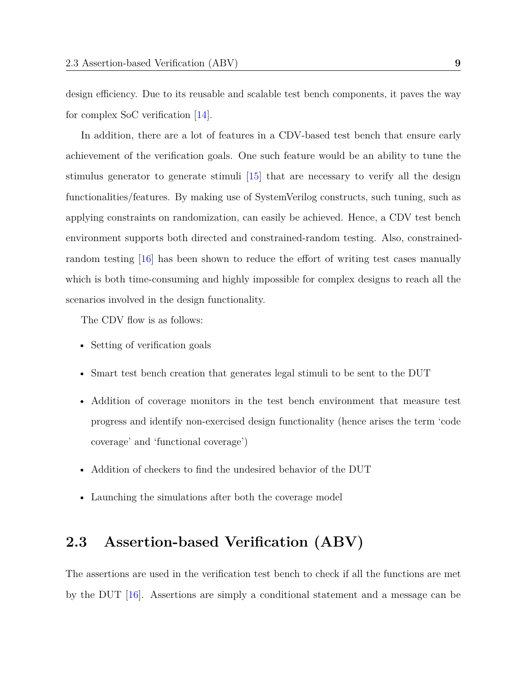design efficiency. Due to its reusable and scalable test bench components, it paves the way for complex SoC verification [\[14\]](#page-53-0).

In addition, there are a lot of features in a CDV-based test bench that ensure early achievement of the verification goals. One such feature would be an ability to tune the stimulus generator to generate stimuli [\[15\]](#page-53-1) that are necessary to verify all the design functionalities/features. By making use of SystemVerilog constructs, such tuning, such as applying constraints on randomization, can easily be achieved. Hence, a CDV test bench environment supports both directed and constrained-random testing. Also, constrainedrandom testing [\[16\]](#page-53-2) has been shown to reduce the effort of writing test cases manually which is both time-consuming and highly impossible for complex designs to reach all the scenarios involved in the design functionality.

The CDV flow is as follows:

- Setting of verification goals
- Smart test bench creation that generates legal stimuli to be sent to the DUT
- Addition of coverage monitors in the test bench environment that measure test progress and identify non-exercised design functionality (hence arises the term 'code coverage' and 'functional coverage')
- Addition of checkers to find the undesired behavior of the DUT
- Launching the simulations after both the coverage model

### <span id="page-20-0"></span>**2.3 Assertion-based Verification (ABV)**

The assertions are used in the verification test bench to check if all the functions are met by the DUT [\[16\]](#page-53-2). Assertions are simply a conditional statement and a message can be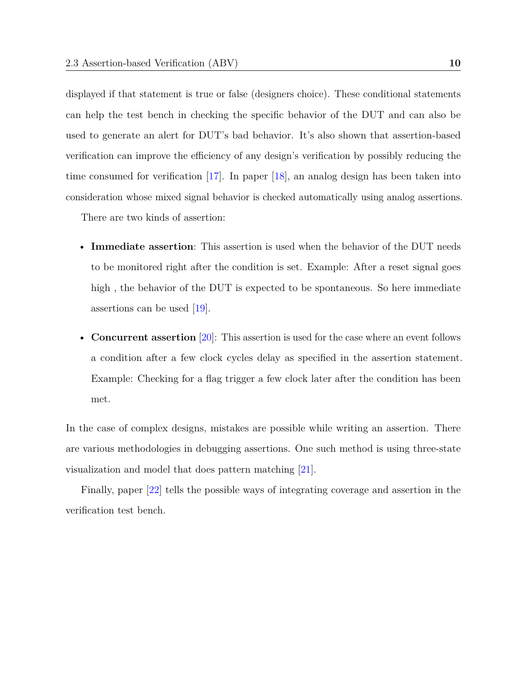displayed if that statement is true or false (designers choice). These conditional statements can help the test bench in checking the specific behavior of the DUT and can also be used to generate an alert for DUT's bad behavior. It's also shown that assertion-based verification can improve the efficiency of any design's verification by possibly reducing the time consumed for verification [\[17\]](#page-53-3). In paper [\[18\]](#page-53-4), an analog design has been taken into consideration whose mixed signal behavior is checked automatically using analog assertions.

There are two kinds of assertion:

- **Immediate assertion**: This assertion is used when the behavior of the DUT needs to be monitored right after the condition is set. Example: After a reset signal goes high, the behavior of the DUT is expected to be spontaneous. So here immediate assertions can be used [\[19\]](#page-53-5).
- **Concurrent assertion** [\[20\]](#page-54-0): This assertion is used for the case where an event follows a condition after a few clock cycles delay as specified in the assertion statement. Example: Checking for a flag trigger a few clock later after the condition has been met.

In the case of complex designs, mistakes are possible while writing an assertion. There are various methodologies in debugging assertions. One such method is using three-state visualization and model that does pattern matching [\[21\]](#page-54-1).

Finally, paper [\[22\]](#page-54-2) tells the possible ways of integrating coverage and assertion in the verification test bench.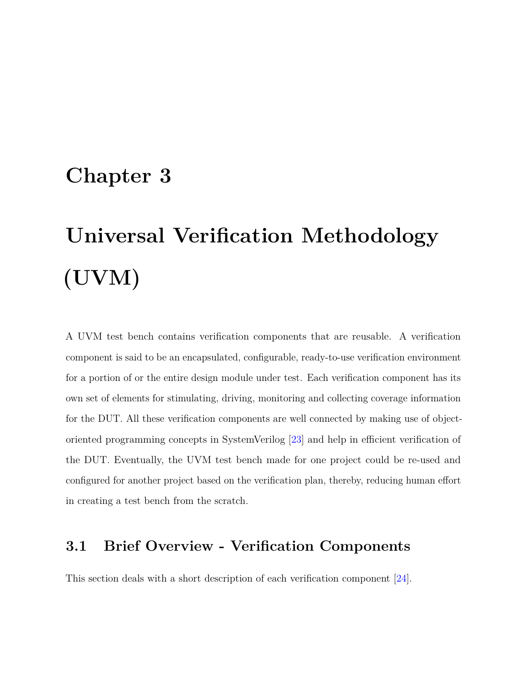## <span id="page-22-0"></span>**Chapter 3**

# **Universal Verification Methodology (UVM)**

A UVM test bench contains verification components that are reusable. A verification component is said to be an encapsulated, configurable, ready-to-use verification environment for a portion of or the entire design module under test. Each verification component has its own set of elements for stimulating, driving, monitoring and collecting coverage information for the DUT. All these verification components are well connected by making use of objectoriented programming concepts in SystemVerilog [\[23\]](#page-54-3) and help in efficient verification of the DUT. Eventually, the UVM test bench made for one project could be re-used and configured for another project based on the verification plan, thereby, reducing human effort in creating a test bench from the scratch.

### <span id="page-22-1"></span>**3.1 Brief Overview - Verification Components**

This section deals with a short description of each verification component [\[24\]](#page-54-4).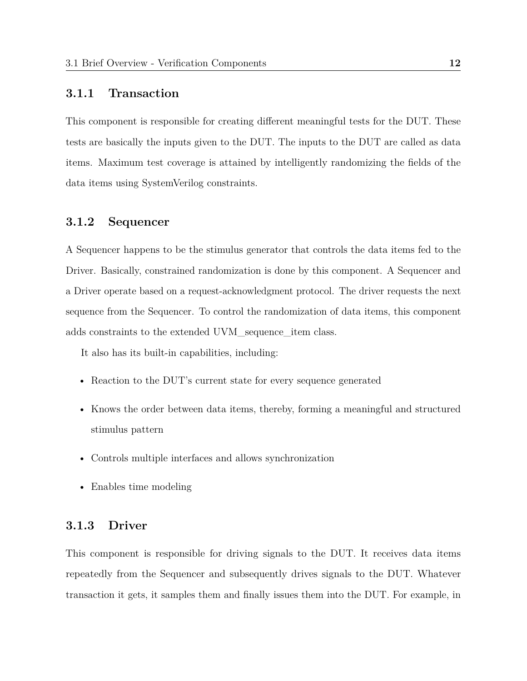#### <span id="page-23-0"></span>**3.1.1 Transaction**

This component is responsible for creating different meaningful tests for the DUT. These tests are basically the inputs given to the DUT. The inputs to the DUT are called as data items. Maximum test coverage is attained by intelligently randomizing the fields of the data items using SystemVerilog constraints.

#### <span id="page-23-1"></span>**3.1.2 Sequencer**

A Sequencer happens to be the stimulus generator that controls the data items fed to the Driver. Basically, constrained randomization is done by this component. A Sequencer and a Driver operate based on a request-acknowledgment protocol. The driver requests the next sequence from the Sequencer. To control the randomization of data items, this component adds constraints to the extended UVM\_sequence\_item class.

It also has its built-in capabilities, including:

- Reaction to the DUT's current state for every sequence generated
- Knows the order between data items, thereby, forming a meaningful and structured stimulus pattern
- Controls multiple interfaces and allows synchronization
- Enables time modeling

#### <span id="page-23-2"></span>**3.1.3 Driver**

This component is responsible for driving signals to the DUT. It receives data items repeatedly from the Sequencer and subsequently drives signals to the DUT. Whatever transaction it gets, it samples them and finally issues them into the DUT. For example, in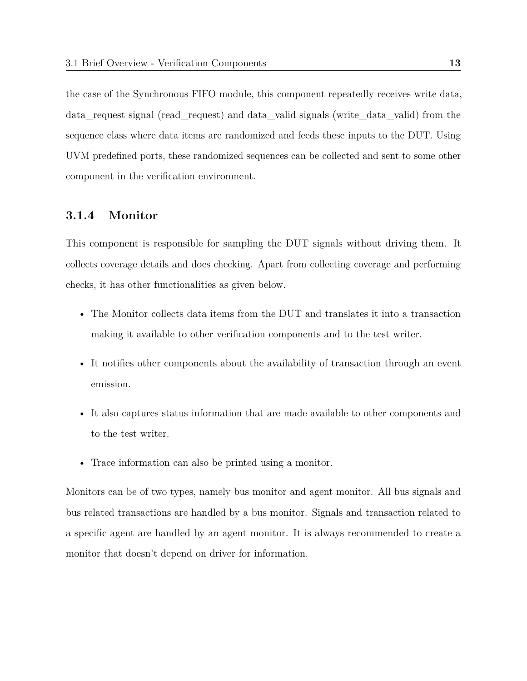the case of the Synchronous FIFO module, this component repeatedly receives write data, data\_request signal (read\_request) and data\_valid signals (write\_data\_valid) from the sequence class where data items are randomized and feeds these inputs to the DUT. Using UVM predefined ports, these randomized sequences can be collected and sent to some other component in the verification environment.

#### <span id="page-24-0"></span>**3.1.4 Monitor**

This component is responsible for sampling the DUT signals without driving them. It collects coverage details and does checking. Apart from collecting coverage and performing checks, it has other functionalities as given below.

- The Monitor collects data items from the DUT and translates it into a transaction making it available to other verification components and to the test writer.
- It notifies other components about the availability of transaction through an event emission.
- It also captures status information that are made available to other components and to the test writer.
- Trace information can also be printed using a monitor.

Monitors can be of two types, namely bus monitor and agent monitor. All bus signals and bus related transactions are handled by a bus monitor. Signals and transaction related to a specific agent are handled by an agent monitor. It is always recommended to create a monitor that doesn't depend on driver for information.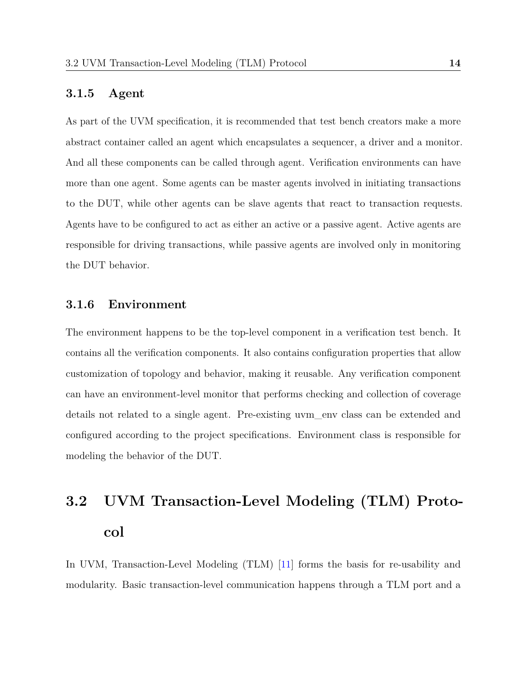#### <span id="page-25-0"></span>**3.1.5 Agent**

As part of the UVM specification, it is recommended that test bench creators make a more abstract container called an agent which encapsulates a sequencer, a driver and a monitor. And all these components can be called through agent. Verification environments can have more than one agent. Some agents can be master agents involved in initiating transactions to the DUT, while other agents can be slave agents that react to transaction requests. Agents have to be configured to act as either an active or a passive agent. Active agents are responsible for driving transactions, while passive agents are involved only in monitoring the DUT behavior.

#### <span id="page-25-1"></span>**3.1.6 Environment**

The environment happens to be the top-level component in a verification test bench. It contains all the verification components. It also contains configuration properties that allow customization of topology and behavior, making it reusable. Any verification component can have an environment-level monitor that performs checking and collection of coverage details not related to a single agent. Pre-existing uvm\_env class can be extended and configured according to the project specifications. Environment class is responsible for modeling the behavior of the DUT.

# <span id="page-25-2"></span>**3.2 UVM Transaction-Level Modeling (TLM) Protocol**

In UVM, Transaction-Level Modeling (TLM) [\[11\]](#page-52-5) forms the basis for re-usability and modularity. Basic transaction-level communication happens through a TLM port and a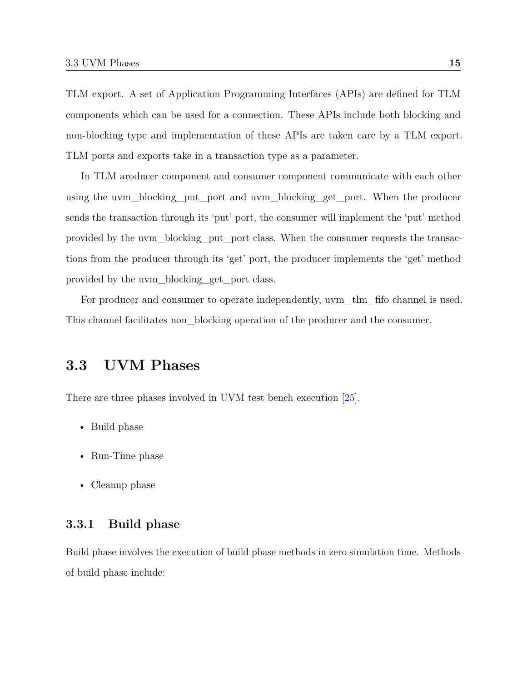TLM export. A set of Application Programming Interfaces (APIs) are defined for TLM components which can be used for a connection. These APIs include both blocking and non-blocking type and implementation of these APIs are taken care by a TLM export. TLM ports and exports take in a transaction type as a parameter.

In TLM aroducer component and consumer component communicate with each other using the uvm\_blocking\_put\_port and uvm\_blocking\_get\_port. When the producer sends the transaction through its 'put' port, the consumer will implement the 'put' method provided by the uvm\_blocking\_put\_port class. When the consumer requests the transactions from the producer through its 'get' port, the producer implements the 'get' method provided by the uvm\_blocking\_get\_port class.

For producer and consumer to operate independently, uvm\_tlm\_fifo channel is used. This channel facilitates non\_blocking operation of the producer and the consumer.

### <span id="page-26-0"></span>**3.3 UVM Phases**

There are three phases involved in UVM test bench execution [\[25\]](#page-54-5).

- Build phase
- Run-Time phase
- Cleanup phase

#### <span id="page-26-1"></span>**3.3.1 Build phase**

Build phase involves the execution of build phase methods in zero simulation time. Methods of build phase include: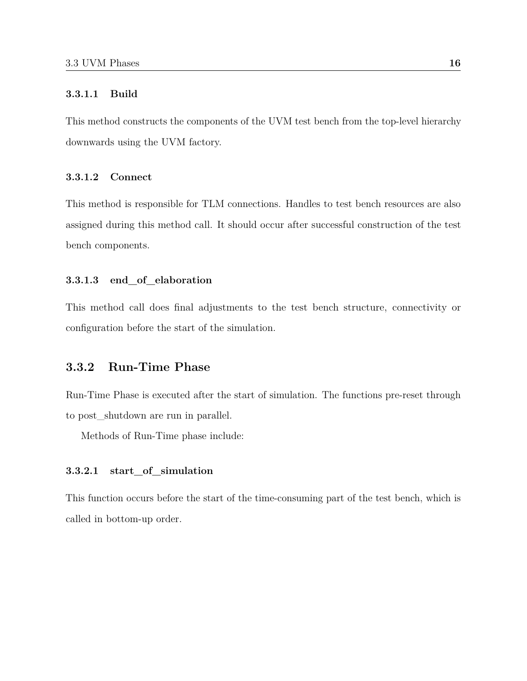#### <span id="page-27-0"></span>**3.3.1.1 Build**

This method constructs the components of the UVM test bench from the top-level hierarchy downwards using the UVM factory.

#### <span id="page-27-1"></span>**3.3.1.2 Connect**

This method is responsible for TLM connections. Handles to test bench resources are also assigned during this method call. It should occur after successful construction of the test bench components.

#### <span id="page-27-2"></span>**3.3.1.3 end\_of\_elaboration**

This method call does final adjustments to the test bench structure, connectivity or configuration before the start of the simulation.

#### <span id="page-27-3"></span>**3.3.2 Run-Time Phase**

Run-Time Phase is executed after the start of simulation. The functions pre-reset through to post\_shutdown are run in parallel.

Methods of Run-Time phase include:

#### <span id="page-27-4"></span>**3.3.2.1 start\_of\_simulation**

This function occurs before the start of the time-consuming part of the test bench, which is called in bottom-up order.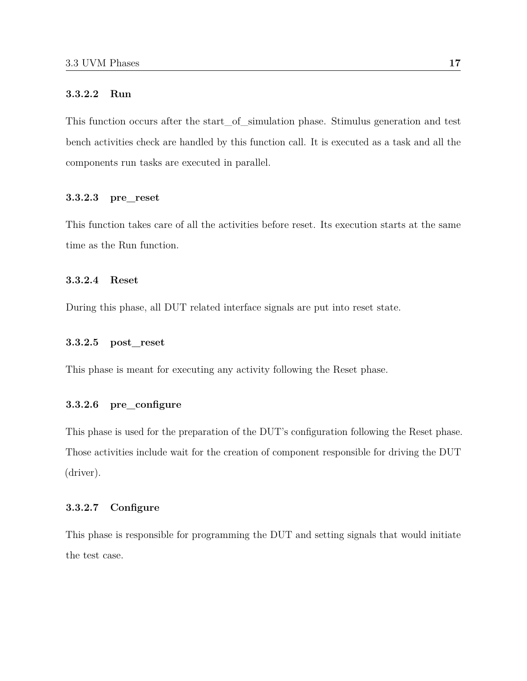#### <span id="page-28-0"></span>**3.3.2.2 Run**

This function occurs after the start\_of\_simulation phase. Stimulus generation and test bench activities check are handled by this function call. It is executed as a task and all the components run tasks are executed in parallel.

#### <span id="page-28-1"></span>**3.3.2.3 pre\_reset**

This function takes care of all the activities before reset. Its execution starts at the same time as the Run function.

#### <span id="page-28-2"></span>**3.3.2.4 Reset**

During this phase, all DUT related interface signals are put into reset state.

#### <span id="page-28-3"></span>**3.3.2.5 post\_reset**

This phase is meant for executing any activity following the Reset phase.

#### <span id="page-28-4"></span>**3.3.2.6 pre\_configure**

This phase is used for the preparation of the DUT's configuration following the Reset phase. Those activities include wait for the creation of component responsible for driving the DUT (driver).

#### <span id="page-28-5"></span>**3.3.2.7 Configure**

This phase is responsible for programming the DUT and setting signals that would initiate the test case.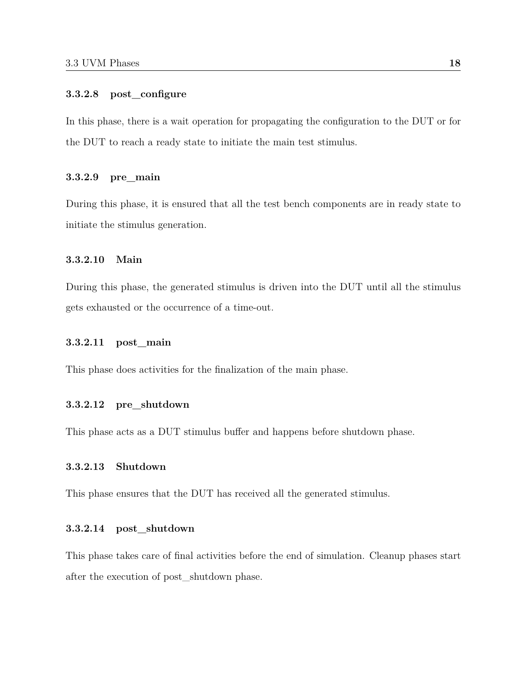#### <span id="page-29-0"></span>**3.3.2.8 post\_configure**

In this phase, there is a wait operation for propagating the configuration to the DUT or for the DUT to reach a ready state to initiate the main test stimulus.

#### <span id="page-29-1"></span>**3.3.2.9 pre\_main**

During this phase, it is ensured that all the test bench components are in ready state to initiate the stimulus generation.

#### <span id="page-29-2"></span>**3.3.2.10 Main**

During this phase, the generated stimulus is driven into the DUT until all the stimulus gets exhausted or the occurrence of a time-out.

#### <span id="page-29-3"></span>**3.3.2.11 post\_main**

This phase does activities for the finalization of the main phase.

#### <span id="page-29-4"></span>**3.3.2.12 pre\_shutdown**

This phase acts as a DUT stimulus buffer and happens before shutdown phase.

#### <span id="page-29-5"></span>**3.3.2.13 Shutdown**

This phase ensures that the DUT has received all the generated stimulus.

#### <span id="page-29-6"></span>**3.3.2.14 post\_shutdown**

This phase takes care of final activities before the end of simulation. Cleanup phases start after the execution of post\_shutdown phase.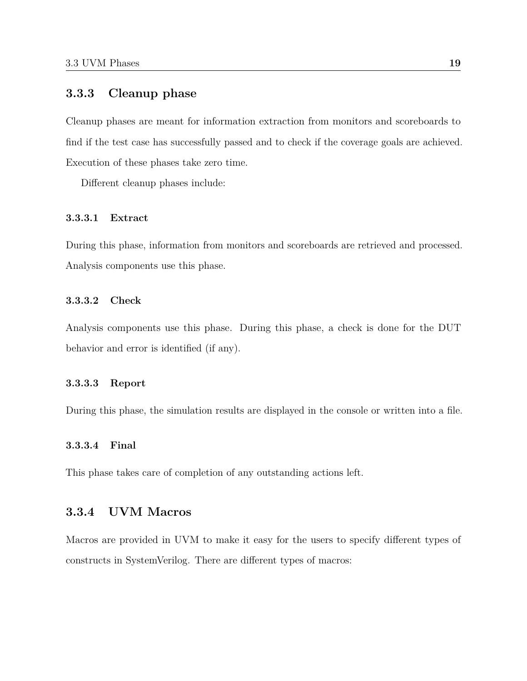#### <span id="page-30-0"></span>**3.3.3 Cleanup phase**

Cleanup phases are meant for information extraction from monitors and scoreboards to find if the test case has successfully passed and to check if the coverage goals are achieved. Execution of these phases take zero time.

Different cleanup phases include:

#### <span id="page-30-1"></span>**3.3.3.1 Extract**

During this phase, information from monitors and scoreboards are retrieved and processed. Analysis components use this phase.

#### <span id="page-30-2"></span>**3.3.3.2 Check**

Analysis components use this phase. During this phase, a check is done for the DUT behavior and error is identified (if any).

#### <span id="page-30-3"></span>**3.3.3.3 Report**

During this phase, the simulation results are displayed in the console or written into a file.

#### <span id="page-30-4"></span>**3.3.3.4 Final**

This phase takes care of completion of any outstanding actions left.

#### <span id="page-30-5"></span>**3.3.4 UVM Macros**

Macros are provided in UVM to make it easy for the users to specify different types of constructs in SystemVerilog. There are different types of macros: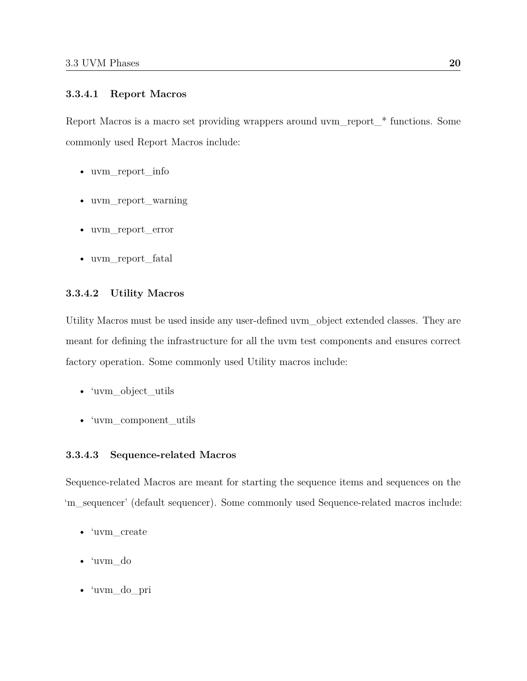#### <span id="page-31-0"></span>**3.3.4.1 Report Macros**

Report Macros is a macro set providing wrappers around uvm report  $*$  functions. Some commonly used Report Macros include:

- uvm report info
- uvm\_report\_warning
- uvm\_report\_error
- uvm\_report\_fatal

#### <span id="page-31-1"></span>**3.3.4.2 Utility Macros**

Utility Macros must be used inside any user-defined uvm\_object extended classes. They are meant for defining the infrastructure for all the uvm test components and ensures correct factory operation. Some commonly used Utility macros include:

- 'uvm\_object\_utils
- 'uvm\_component\_utils

#### <span id="page-31-2"></span>**3.3.4.3 Sequence-related Macros**

Sequence-related Macros are meant for starting the sequence items and sequences on the 'm\_sequencer' (default sequencer). Some commonly used Sequence-related macros include:

- 'uvm\_create
- 'uvm\_do
- 'uvm\_do\_pri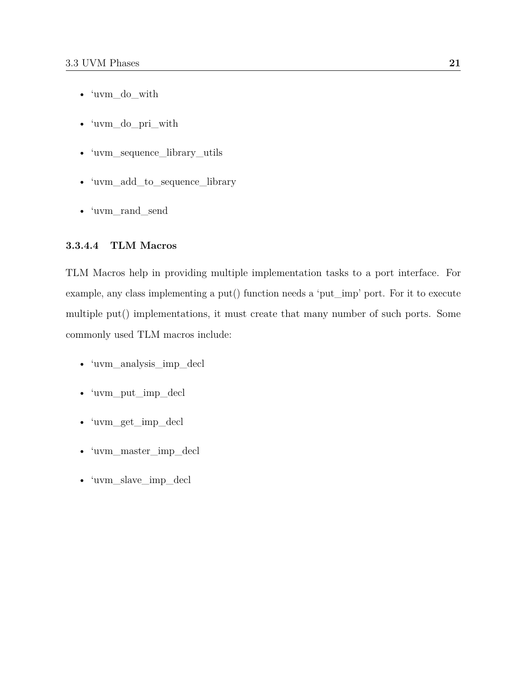- 'uvm\_do\_with
- 'uvm\_do\_pri\_with
- 'uvm\_sequence\_library\_utils
- 'uvm\_add\_to\_sequence\_library
- 'uvm\_rand\_send

#### <span id="page-32-0"></span>**3.3.4.4 TLM Macros**

TLM Macros help in providing multiple implementation tasks to a port interface. For example, any class implementing a put() function needs a 'put\_imp' port. For it to execute multiple put() implementations, it must create that many number of such ports. Some commonly used TLM macros include:

- 'uvm\_analysis\_imp\_decl
- 'uvm\_put\_imp\_decl
- 'uvm\_get\_imp\_decl
- 'uvm\_master\_imp\_decl
- 'uvm\_slave\_imp\_decl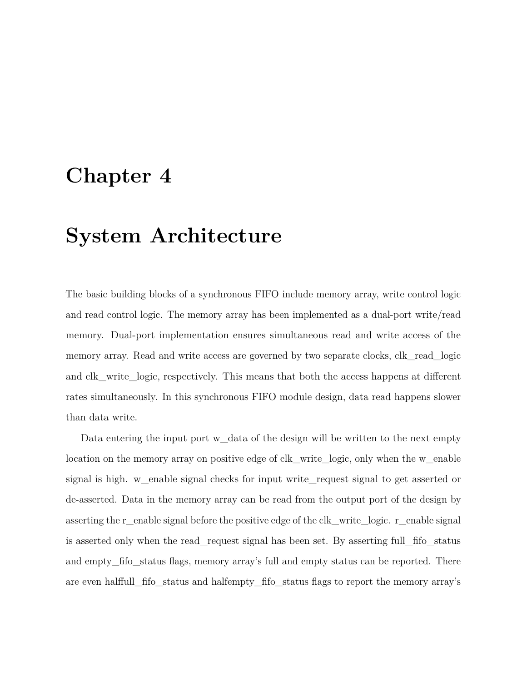## <span id="page-33-0"></span>**Chapter 4**

# **System Architecture**

The basic building blocks of a synchronous FIFO include memory array, write control logic and read control logic. The memory array has been implemented as a dual-port write/read memory. Dual-port implementation ensures simultaneous read and write access of the memory array. Read and write access are governed by two separate clocks, clk\_read\_logic and clk\_write\_logic, respectively. This means that both the access happens at different rates simultaneously. In this synchronous FIFO module design, data read happens slower than data write.

Data entering the input port w data of the design will be written to the next empty location on the memory array on positive edge of clk\_write\_logic, only when the w\_enable signal is high. w\_enable signal checks for input write\_request signal to get asserted or de-asserted. Data in the memory array can be read from the output port of the design by asserting the r\_enable signal before the positive edge of the clk\_write\_logic. r\_enable signal is asserted only when the read request signal has been set. By asserting full fifostatus and empty\_fifo\_status flags, memory array's full and empty status can be reported. There are even halffull fifostatus and halfempty fifostatus flags to report the memory array's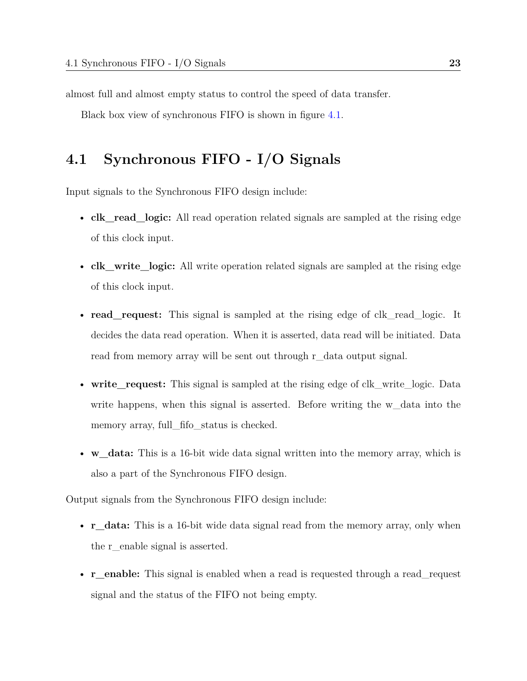almost full and almost empty status to control the speed of data transfer.

Black box view of synchronous FIFO is shown in figure [4.1.](#page-36-0)

### <span id="page-34-0"></span>**4.1 Synchronous FIFO - I/O Signals**

Input signals to the Synchronous FIFO design include:

- **clk** read logic: All read operation related signals are sampled at the rising edge of this clock input.
- **clk\_write\_logic:** All write operation related signals are sampled at the rising edge of this clock input.
- **read** request: This signal is sampled at the rising edge of clk read logic. It decides the data read operation. When it is asserted, data read will be initiated. Data read from memory array will be sent out through r\_data output signal.
- write request: This signal is sampled at the rising edge of clk write logic. Data write happens, when this signal is asserted. Before writing the w data into the memory array, full fifo status is checked.
- **w\_data:** This is a 16-bit wide data signal written into the memory array, which is also a part of the Synchronous FIFO design.

Output signals from the Synchronous FIFO design include:

- **r** data: This is a 16-bit wide data signal read from the memory array, only when the r\_enable signal is asserted.
- **r** enable: This signal is enabled when a read is requested through a read request signal and the status of the FIFO not being empty.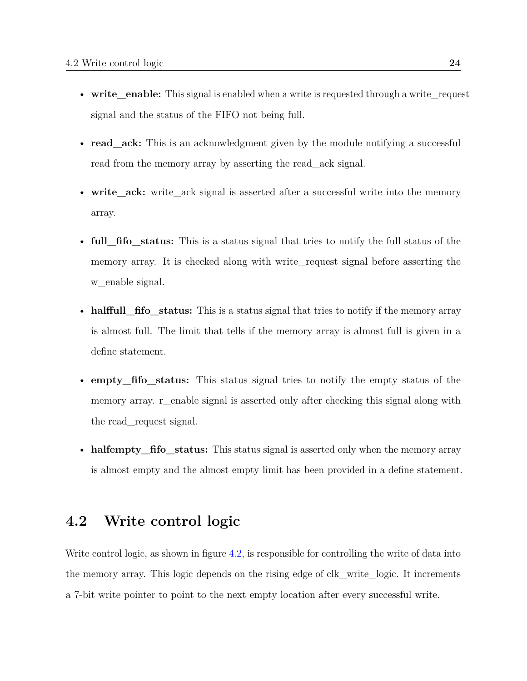- write enable: This signal is enabled when a write is requested through a write request signal and the status of the FIFO not being full.
- **read** ack: This is an acknowledgment given by the module notifying a successful read from the memory array by asserting the read ack signal.
- **write\_ack:** write\_ack signal is asserted after a successful write into the memory array.
- **full\_fifo\_status:** This is a status signal that tries to notify the full status of the memory array. It is checked along with write\_request signal before asserting the w\_enable signal.
- **halffull\_fifo\_status:** This is a status signal that tries to notify if the memory array is almost full. The limit that tells if the memory array is almost full is given in a define statement.
- **empty** fifostatus: This status signal tries to notify the empty status of the memory array. r\_enable signal is asserted only after checking this signal along with the read\_request signal.
- **halfempty** fifostatus: This status signal is asserted only when the memory array is almost empty and the almost empty limit has been provided in a define statement.

### <span id="page-35-0"></span>**4.2 Write control logic**

Write control logic, as shown in figure [4.2,](#page-37-1) is responsible for controlling the write of data into the memory array. This logic depends on the rising edge of clk\_write\_logic. It increments a 7-bit write pointer to point to the next empty location after every successful write.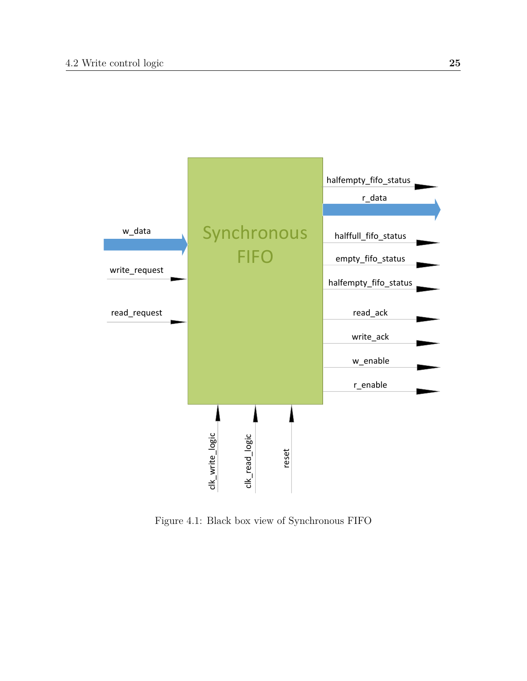

Figure 4.1: Black box view of Synchronous FIFO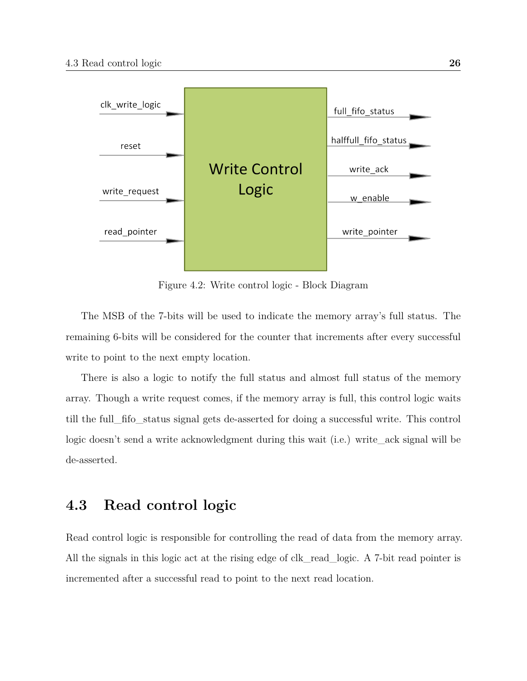

Figure 4.2: Write control logic - Block Diagram

The MSB of the 7-bits will be used to indicate the memory array's full status. The remaining 6-bits will be considered for the counter that increments after every successful write to point to the next empty location.

There is also a logic to notify the full status and almost full status of the memory array. Though a write request comes, if the memory array is full, this control logic waits till the full\_fifo\_status signal gets de-asserted for doing a successful write. This control logic doesn't send a write acknowledgment during this wait (i.e.) write\_ack signal will be de-asserted.

## **4.3 Read control logic**

Read control logic is responsible for controlling the read of data from the memory array. All the signals in this logic act at the rising edge of clk\_read\_logic. A 7-bit read pointer is incremented after a successful read to point to the next read location.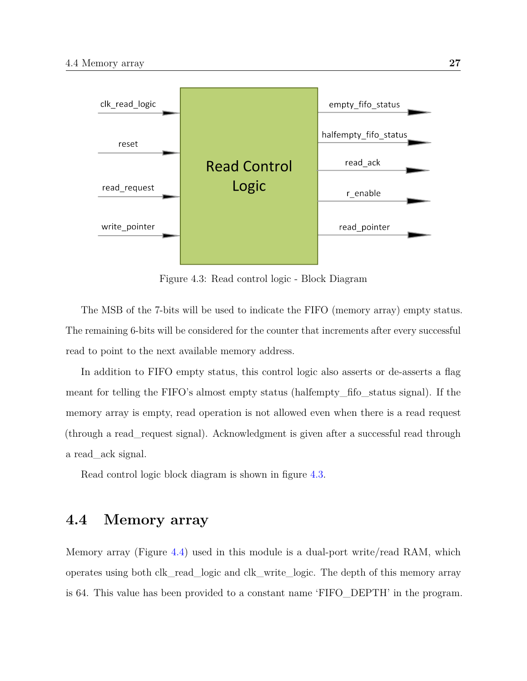<span id="page-38-0"></span>

Figure 4.3: Read control logic - Block Diagram

The MSB of the 7-bits will be used to indicate the FIFO (memory array) empty status. The remaining 6-bits will be considered for the counter that increments after every successful read to point to the next available memory address.

In addition to FIFO empty status, this control logic also asserts or de-asserts a flag meant for telling the FIFO's almost empty status (halfempty\_fifo\_status signal). If the memory array is empty, read operation is not allowed even when there is a read request (through a read\_request signal). Acknowledgment is given after a successful read through a read\_ack signal.

Read control logic block diagram is shown in figure [4.3.](#page-38-0)

# **4.4 Memory array**

Memory array (Figure [4.4\)](#page-39-0) used in this module is a dual-port write/read RAM, which operates using both clk\_read\_logic and clk\_write\_logic. The depth of this memory array is 64. This value has been provided to a constant name 'FIFO\_DEPTH' in the program.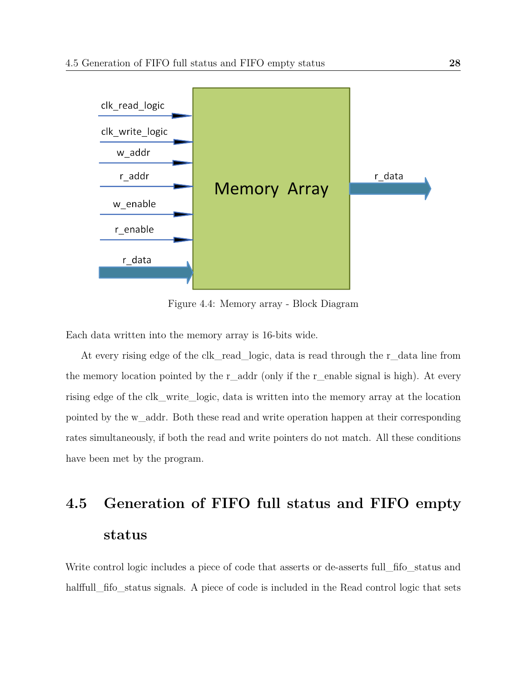<span id="page-39-0"></span>

Figure 4.4: Memory array - Block Diagram

Each data written into the memory array is 16-bits wide.

At every rising edge of the clk\_read\_logic, data is read through the r\_data line from the memory location pointed by the  $r$ -addr (only if the r-enable signal is high). At every rising edge of the clk\_write\_logic, data is written into the memory array at the location pointed by the w\_addr. Both these read and write operation happen at their corresponding rates simultaneously, if both the read and write pointers do not match. All these conditions have been met by the program.

# **4.5 Generation of FIFO full status and FIFO empty status**

Write control logic includes a piece of code that asserts or de-asserts full fifostatus and halffull fifostatus signals. A piece of code is included in the Read control logic that sets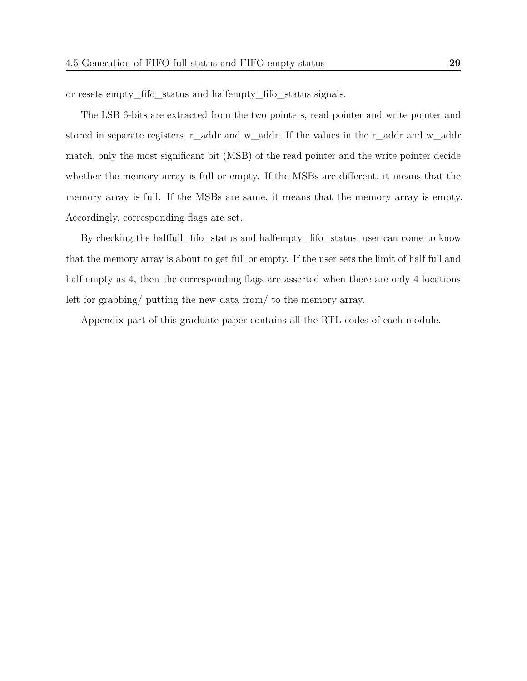or resets empty\_fifo\_status and halfempty\_fifo\_status signals.

The LSB 6-bits are extracted from the two pointers, read pointer and write pointer and stored in separate registers, r\_addr and w\_addr. If the values in the r\_addr and w\_addr match, only the most significant bit (MSB) of the read pointer and the write pointer decide whether the memory array is full or empty. If the MSBs are different, it means that the memory array is full. If the MSBs are same, it means that the memory array is empty. Accordingly, corresponding flags are set.

By checking the halffull\_fifo\_status and halfempty\_fifo\_status, user can come to know that the memory array is about to get full or empty. If the user sets the limit of half full and half empty as 4, then the corresponding flags are asserted when there are only 4 locations left for grabbing/ putting the new data from/ to the memory array.

Appendix part of this graduate paper contains all the RTL codes of each module.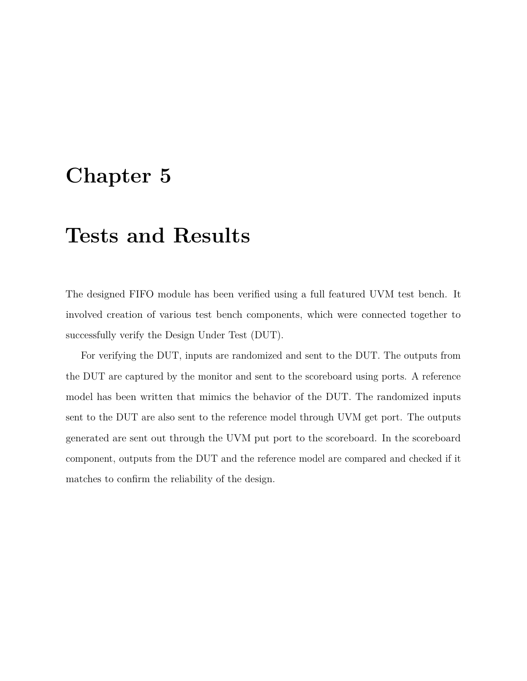# **Chapter 5**

# **Tests and Results**

The designed FIFO module has been verified using a full featured UVM test bench. It involved creation of various test bench components, which were connected together to successfully verify the Design Under Test (DUT).

For verifying the DUT, inputs are randomized and sent to the DUT. The outputs from the DUT are captured by the monitor and sent to the scoreboard using ports. A reference model has been written that mimics the behavior of the DUT. The randomized inputs sent to the DUT are also sent to the reference model through UVM get port. The outputs generated are sent out through the UVM put port to the scoreboard. In the scoreboard component, outputs from the DUT and the reference model are compared and checked if it matches to confirm the reliability of the design.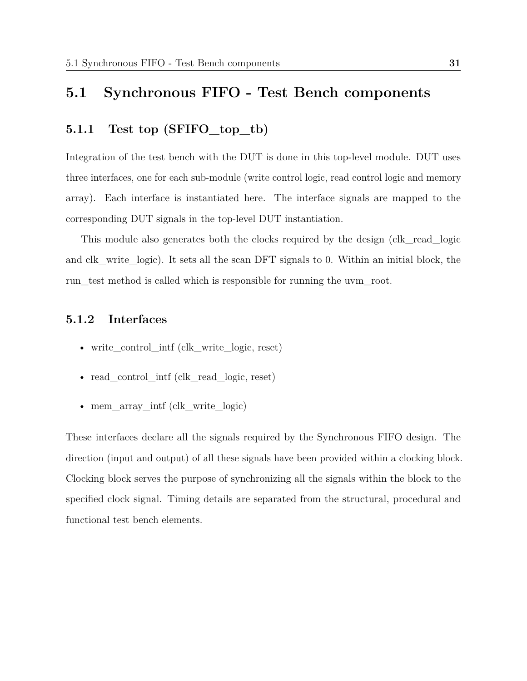# **5.1 Synchronous FIFO - Test Bench components**

## **5.1.1 Test top (SFIFO\_top\_tb)**

Integration of the test bench with the DUT is done in this top-level module. DUT uses three interfaces, one for each sub-module (write control logic, read control logic and memory array). Each interface is instantiated here. The interface signals are mapped to the corresponding DUT signals in the top-level DUT instantiation.

This module also generates both the clocks required by the design (clk\_read\_logic and clk\_write\_logic). It sets all the scan DFT signals to 0. Within an initial block, the run test method is called which is responsible for running the uvm root.

### **5.1.2 Interfaces**

- write\_control\_intf (clk\_write\_logic, reset)
- read control intf (clk read logic, reset)
- mem\_array\_intf (clk\_write\_logic)

These interfaces declare all the signals required by the Synchronous FIFO design. The direction (input and output) of all these signals have been provided within a clocking block. Clocking block serves the purpose of synchronizing all the signals within the block to the specified clock signal. Timing details are separated from the structural, procedural and functional test bench elements.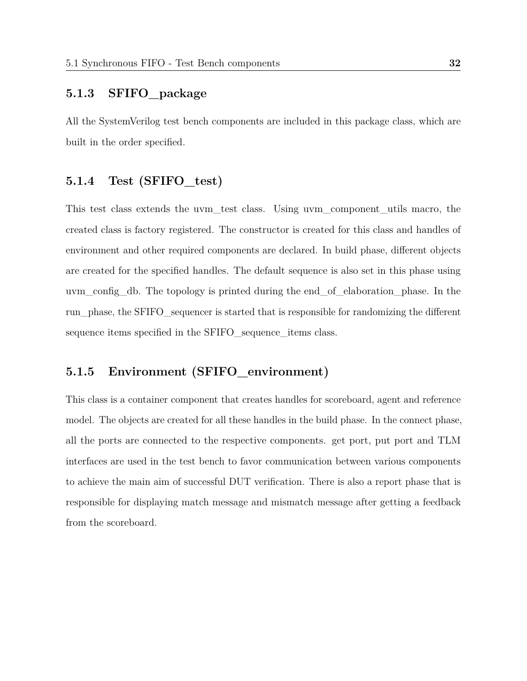#### **5.1.3 SFIFO\_package**

All the SystemVerilog test bench components are included in this package class, which are built in the order specified.

### **5.1.4 Test (SFIFO\_test)**

This test class extends the uvm\_test class. Using uvm\_component\_utils macro, the created class is factory registered. The constructor is created for this class and handles of environment and other required components are declared. In build phase, different objects are created for the specified handles. The default sequence is also set in this phase using uvm\_config\_db. The topology is printed during the end\_of\_elaboration\_phase. In the run\_phase, the SFIFO\_sequencer is started that is responsible for randomizing the different sequence items specified in the SFIFO\_sequence\_items class.

## **5.1.5 Environment (SFIFO\_environment)**

This class is a container component that creates handles for scoreboard, agent and reference model. The objects are created for all these handles in the build phase. In the connect phase, all the ports are connected to the respective components. get port, put port and TLM interfaces are used in the test bench to favor communication between various components to achieve the main aim of successful DUT verification. There is also a report phase that is responsible for displaying match message and mismatch message after getting a feedback from the scoreboard.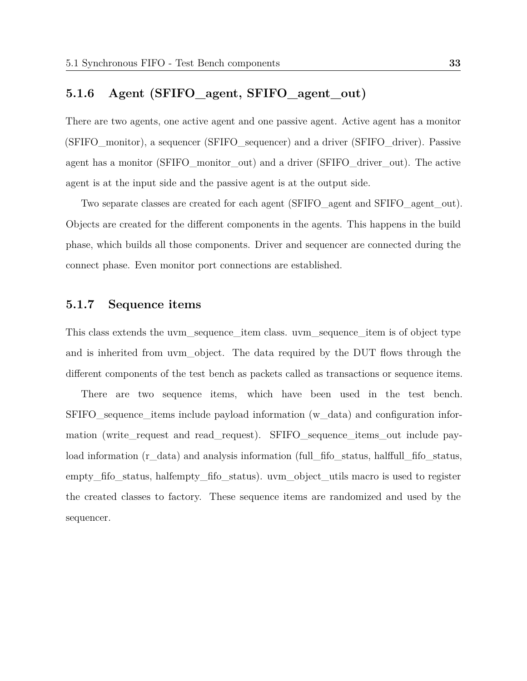#### **5.1.6 Agent (SFIFO\_agent, SFIFO\_agent\_out)**

There are two agents, one active agent and one passive agent. Active agent has a monitor (SFIFO\_monitor), a sequencer (SFIFO\_sequencer) and a driver (SFIFO\_driver). Passive agent has a monitor (SFIFO\_monitor\_out) and a driver (SFIFO\_driver\_out). The active agent is at the input side and the passive agent is at the output side.

Two separate classes are created for each agent (SFIFO\_agent and SFIFO\_agent\_out). Objects are created for the different components in the agents. This happens in the build phase, which builds all those components. Driver and sequencer are connected during the connect phase. Even monitor port connections are established.

### **5.1.7 Sequence items**

This class extends the uvm sequence item class. uvm sequence item is of object type and is inherited from uvm object. The data required by the DUT flows through the different components of the test bench as packets called as transactions or sequence items.

There are two sequence items, which have been used in the test bench. SFIFO\_sequence\_items include payload information (w\_data) and configuration information (write\_request and read\_request). SFIFO\_sequence\_items\_out include payload information (r\_data) and analysis information (full\_fifo\_status, halffull\_fifo\_status, empty\_fifo\_status, halfempty\_fifo\_status). uvm\_object\_utils macro is used to register the created classes to factory. These sequence items are randomized and used by the sequencer.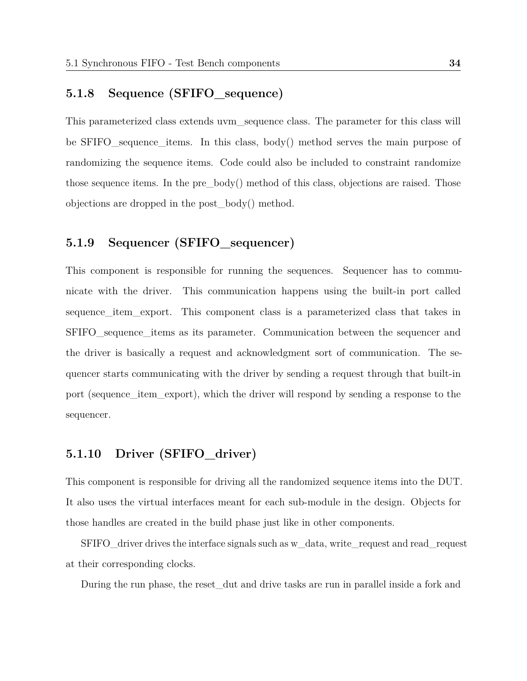### **5.1.8 Sequence (SFIFO\_sequence)**

This parameterized class extends uvm\_sequence class. The parameter for this class will be SFIFO sequence items. In this class, body() method serves the main purpose of randomizing the sequence items. Code could also be included to constraint randomize those sequence items. In the pre $\cdot$  body() method of this class, objections are raised. Those objections are dropped in the post\_body() method.

### **5.1.9 Sequencer (SFIFO\_sequencer)**

This component is responsible for running the sequences. Sequencer has to communicate with the driver. This communication happens using the built-in port called sequence\_item\_export. This component class is a parameterized class that takes in SFIFO\_sequence\_items as its parameter. Communication between the sequencer and the driver is basically a request and acknowledgment sort of communication. The sequencer starts communicating with the driver by sending a request through that built-in port (sequence item export), which the driver will respond by sending a response to the sequencer.

### **5.1.10 Driver (SFIFO\_driver)**

This component is responsible for driving all the randomized sequence items into the DUT. It also uses the virtual interfaces meant for each sub-module in the design. Objects for those handles are created in the build phase just like in other components.

SFIFO\_driver drives the interface signals such as w\_data, write\_request and read\_request at their corresponding clocks.

During the run phase, the reset\_dut and drive tasks are run in parallel inside a fork and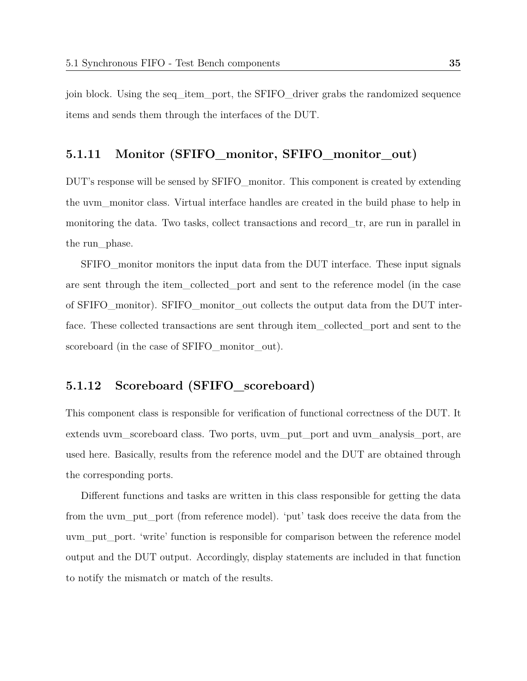join block. Using the seq\_item\_port, the SFIFO\_driver grabs the randomized sequence items and sends them through the interfaces of the DUT.

#### **5.1.11 Monitor (SFIFO\_monitor, SFIFO\_monitor\_out)**

DUT's response will be sensed by SFIFO\_monitor. This component is created by extending the uvm\_monitor class. Virtual interface handles are created in the build phase to help in monitoring the data. Two tasks, collect transactions and record\_tr, are run in parallel in the run\_phase.

SFIFO\_monitor monitors the input data from the DUT interface. These input signals are sent through the item\_collected\_port and sent to the reference model (in the case of SFIFO\_monitor). SFIFO\_monitor\_out collects the output data from the DUT interface. These collected transactions are sent through item\_collected\_port and sent to the scoreboard (in the case of SFIFO monitor out).

### **5.1.12 Scoreboard (SFIFO\_scoreboard)**

This component class is responsible for verification of functional correctness of the DUT. It extends uvm\_scoreboard class. Two ports, uvm\_put\_port and uvm\_analysis\_port, are used here. Basically, results from the reference model and the DUT are obtained through the corresponding ports.

Different functions and tasks are written in this class responsible for getting the data from the uvm put port (from reference model). 'put' task does receive the data from the uvm\_put\_port. 'write' function is responsible for comparison between the reference model output and the DUT output. Accordingly, display statements are included in that function to notify the mismatch or match of the results.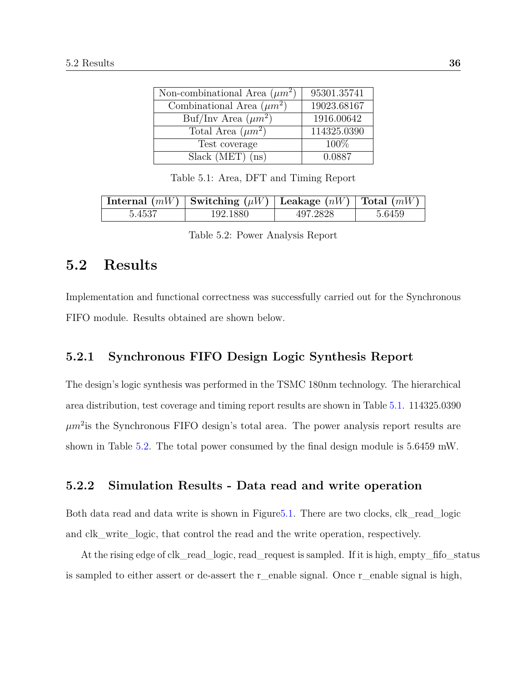<span id="page-47-0"></span>

| Non-combinational Area $(\mu m^2)$ | 95301.35741 |
|------------------------------------|-------------|
| Combinational Area $(\mu m^2)$     | 19023.68167 |
| Buf/Inv Area $(\mu m^2)$           | 1916.00642  |
| Total Area $(\mu m^2)$             | 114325.0390 |
| Test coverage                      | 100\%       |
| $Slack(MET)$ (ns)                  | 0.0887      |

Table 5.1: Area, DFT and Timing Report

<span id="page-47-1"></span>

|        | Internal $(mW)$ Switching $(\mu W)$ Leakage $(nW)$ Total $(mW)$ |          |        |
|--------|-----------------------------------------------------------------|----------|--------|
| 5.4537 | 192.1880                                                        | 497.2828 | 5.6459 |

|  |  |  | Table 5.2: Power Analysis Report |  |
|--|--|--|----------------------------------|--|
|--|--|--|----------------------------------|--|

## **5.2 Results**

Implementation and functional correctness was successfully carried out for the Synchronous FIFO module. Results obtained are shown below.

#### **5.2.1 Synchronous FIFO Design Logic Synthesis Report**

The design's logic synthesis was performed in the TSMC 180nm technology. The hierarchical area distribution, test coverage and timing report results are shown in Table [5.1.](#page-47-0) 114325.0390  $\mu m^2$  is the Synchronous FIFO design's total area. The power analysis report results are shown in Table [5.2.](#page-47-1) The total power consumed by the final design module is 5.6459 mW.

#### **5.2.2 Simulation Results - Data read and write operation**

Both data read and data write is shown in Figur[e5.1.](#page-48-0) There are two clocks, clk\_read\_logic and clk\_write\_logic, that control the read and the write operation, respectively.

At the rising edge of clk read logic, read request is sampled. If it is high, empty fifostatus is sampled to either assert or de-assert the r\_enable signal. Once r\_enable signal is high,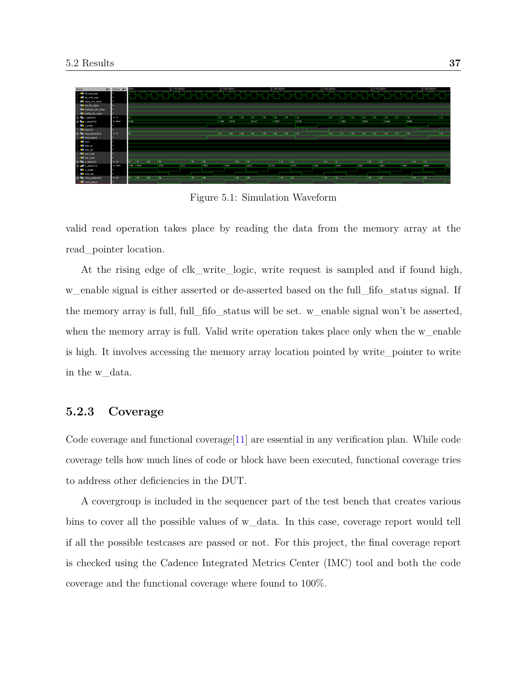<span id="page-48-0"></span>

Figure 5.1: Simulation Waveform

valid read operation takes place by reading the data from the memory array at the read\_pointer location.

At the rising edge of clk write logic, write request is sampled and if found high, w enable signal is either asserted or de-asserted based on the full fifostatus signal. If the memory array is full, full\_fifo\_status will be set. w\_enable signal won't be asserted, when the memory array is full. Valid write operation takes place only when the w\_enable is high. It involves accessing the memory array location pointed by write\_pointer to write in the w\_data.

#### **5.2.3 Coverage**

Code coverage and functional coverage  $[11]$  are essential in any verification plan. While code coverage tells how much lines of code or block have been executed, functional coverage tries to address other deficiencies in the DUT.

A covergroup is included in the sequencer part of the test bench that creates various bins to cover all the possible values of w\_data. In this case, coverage report would tell if all the possible testcases are passed or not. For this project, the final coverage report is checked using the Cadence Integrated Metrics Center (IMC) tool and both the code coverage and the functional coverage where found to 100%.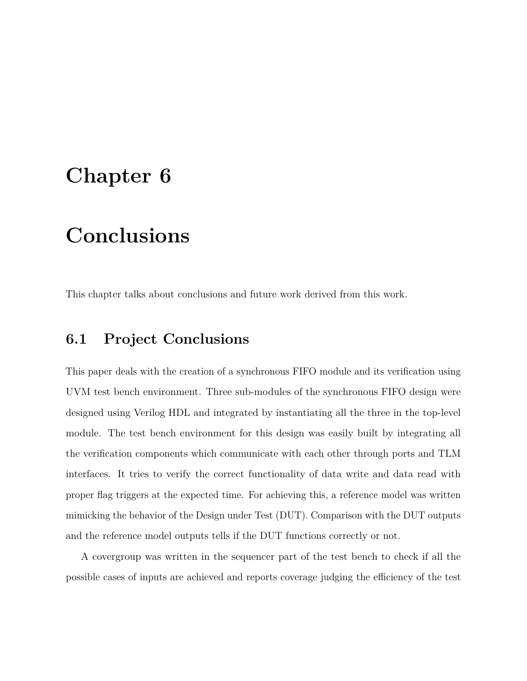# **Chapter 6**

# **Conclusions**

This chapter talks about conclusions and future work derived from this work.

# **6.1 Project Conclusions**

This paper deals with the creation of a synchronous FIFO module and its verification using UVM test bench environment. Three sub-modules of the synchronous FIFO design were designed using Verilog HDL and integrated by instantiating all the three in the top-level module. The test bench environment for this design was easily built by integrating all the verification components which communicate with each other through ports and TLM interfaces. It tries to verify the correct functionality of data write and data read with proper flag triggers at the expected time. For achieving this, a reference model was written mimicking the behavior of the Design under Test (DUT). Comparison with the DUT outputs and the reference model outputs tells if the DUT functions correctly or not.

A covergroup was written in the sequencer part of the test bench to check if all the possible cases of inputs are achieved and reports coverage judging the efficiency of the test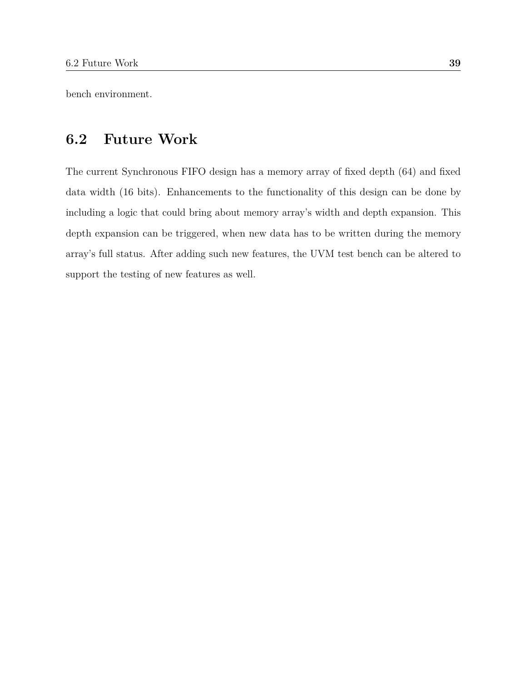bench environment.

# **6.2 Future Work**

The current Synchronous FIFO design has a memory array of fixed depth (64) and fixed data width (16 bits). Enhancements to the functionality of this design can be done by including a logic that could bring about memory array's width and depth expansion. This depth expansion can be triggered, when new data has to be written during the memory array's full status. After adding such new features, the UVM test bench can be altered to support the testing of new features as well.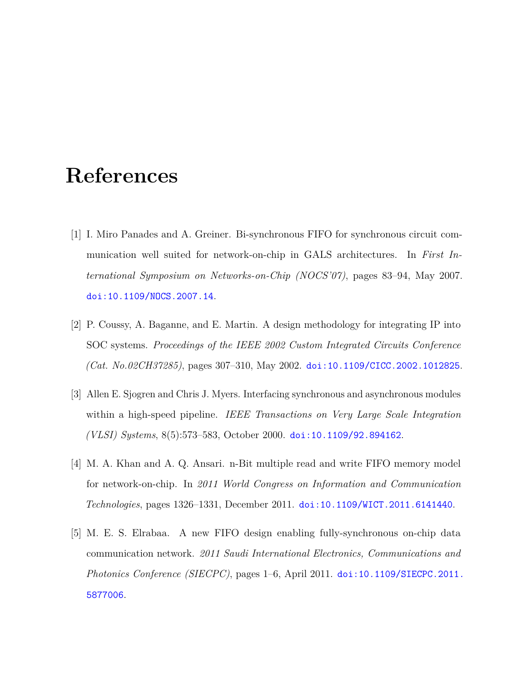# **References**

- [1] I. Miro Panades and A. Greiner. Bi-synchronous FIFO for synchronous circuit communication well suited for network-on-chip in GALS architectures. In *First International Symposium on Networks-on-Chip (NOCS'07)*, pages 83–94, May 2007. [doi:10.1109/NOCS.2007.14](http://dx.doi.org/10.1109/NOCS.2007.14).
- [2] P. Coussy, A. Baganne, and E. Martin. A design methodology for integrating IP into SOC systems. *Proceedings of the IEEE 2002 Custom Integrated Circuits Conference (Cat. No.02CH37285)*, pages 307–310, May 2002. [doi:10.1109/CICC.2002.1012825](http://dx.doi.org/10.1109/CICC.2002.1012825).
- [3] Allen E. Sjogren and Chris J. Myers. Interfacing synchronous and asynchronous modules within a high-speed pipeline. *IEEE Transactions on Very Large Scale Integration (VLSI) Systems*, 8(5):573–583, October 2000. [doi:10.1109/92.894162](http://dx.doi.org/10.1109/92.894162).
- [4] M. A. Khan and A. Q. Ansari. n-Bit multiple read and write FIFO memory model for network-on-chip. In *2011 World Congress on Information and Communication Technologies*, pages 1326–1331, December 2011. [doi:10.1109/WICT.2011.6141440](http://dx.doi.org/10.1109/WICT.2011.6141440).
- [5] M. E. S. Elrabaa. A new FIFO design enabling fully-synchronous on-chip data communication network. *2011 Saudi International Electronics, Communications and Photonics Conference (SIECPC)*, pages 1–6, April 2011. [doi:10.1109/SIECPC.2011.](http://dx.doi.org/10.1109/SIECPC.2011.5877006) [5877006](http://dx.doi.org/10.1109/SIECPC.2011.5877006).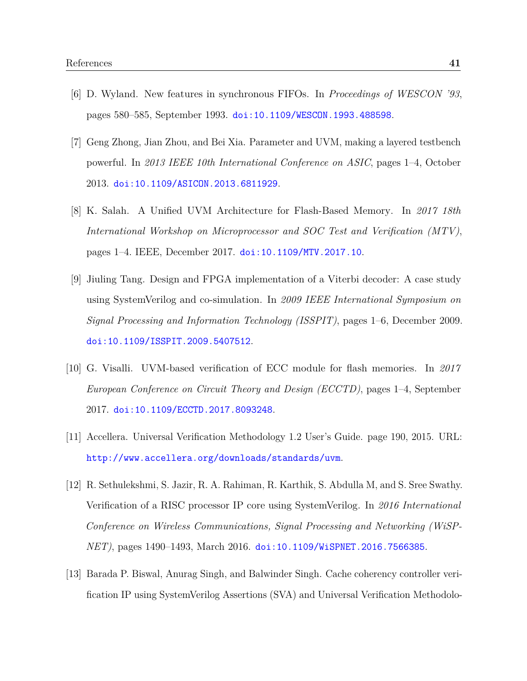- [6] D. Wyland. New features in synchronous FIFOs. In *Proceedings of WESCON '93*, pages 580–585, September 1993. [doi:10.1109/WESCON.1993.488598](http://dx.doi.org/10.1109/WESCON.1993.488598).
- [7] Geng Zhong, Jian Zhou, and Bei Xia. Parameter and UVM, making a layered testbench powerful. In *2013 IEEE 10th International Conference on ASIC*, pages 1–4, October 2013. [doi:10.1109/ASICON.2013.6811929](http://dx.doi.org/10.1109/ASICON.2013.6811929).
- [8] K. Salah. A Unified UVM Architecture for Flash-Based Memory. In *2017 18th International Workshop on Microprocessor and SOC Test and Verification (MTV)*, pages 1–4. IEEE, December 2017. [doi:10.1109/MTV.2017.10](http://dx.doi.org/10.1109/MTV.2017.10).
- [9] Jiuling Tang. Design and FPGA implementation of a Viterbi decoder: A case study using SystemVerilog and co-simulation. In *2009 IEEE International Symposium on Signal Processing and Information Technology (ISSPIT)*, pages 1–6, December 2009. [doi:10.1109/ISSPIT.2009.5407512](http://dx.doi.org/10.1109/ISSPIT.2009.5407512).
- [10] G. Visalli. UVM-based verification of ECC module for flash memories. In *2017 European Conference on Circuit Theory and Design (ECCTD)*, pages 1–4, September 2017. [doi:10.1109/ECCTD.2017.8093248](http://dx.doi.org/10.1109/ECCTD.2017.8093248).
- <span id="page-52-0"></span>[11] Accellera. Universal Verification Methodology 1.2 User's Guide. page 190, 2015. URL: <http://www.accellera.org/downloads/standards/uvm>.
- [12] R. Sethulekshmi, S. Jazir, R. A. Rahiman, R. Karthik, S. Abdulla M, and S. Sree Swathy. Verification of a RISC processor IP core using SystemVerilog. In *2016 International Conference on Wireless Communications, Signal Processing and Networking (WiSP-NET)*, pages 1490–1493, March 2016. [doi:10.1109/WiSPNET.2016.7566385](http://dx.doi.org/10.1109/WiSPNET.2016.7566385).
- [13] Barada P. Biswal, Anurag Singh, and Balwinder Singh. Cache coherency controller verification IP using SystemVerilog Assertions (SVA) and Universal Verification Methodolo-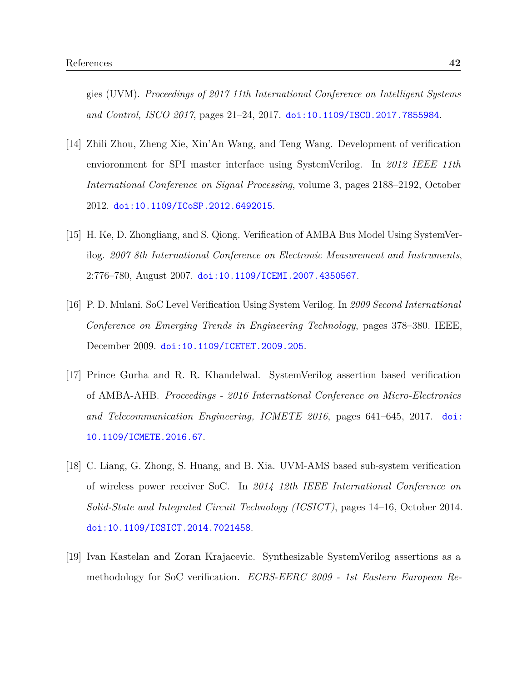gies (UVM). *Proceedings of 2017 11th International Conference on Intelligent Systems and Control, ISCO 2017*, pages 21–24, 2017. [doi:10.1109/ISCO.2017.7855984](http://dx.doi.org/10.1109/ISCO.2017.7855984).

- [14] Zhili Zhou, Zheng Xie, Xin'An Wang, and Teng Wang. Development of verification envioronment for SPI master interface using SystemVerilog. In *2012 IEEE 11th International Conference on Signal Processing*, volume 3, pages 2188–2192, October 2012. [doi:10.1109/ICoSP.2012.6492015](http://dx.doi.org/10.1109/ICoSP.2012.6492015).
- [15] H. Ke, D. Zhongliang, and S. Qiong. Verification of AMBA Bus Model Using SystemVerilog. *2007 8th International Conference on Electronic Measurement and Instruments*, 2:776–780, August 2007. [doi:10.1109/ICEMI.2007.4350567](http://dx.doi.org/10.1109/ICEMI.2007.4350567).
- [16] P. D. Mulani. SoC Level Verification Using System Verilog. In *2009 Second International Conference on Emerging Trends in Engineering Technology*, pages 378–380. IEEE, December 2009. [doi:10.1109/ICETET.2009.205](http://dx.doi.org/10.1109/ICETET.2009.205).
- [17] Prince Gurha and R. R. Khandelwal. SystemVerilog assertion based verification of AMBA-AHB. *Proceedings - 2016 International Conference on Micro-Electronics and Telecommunication Engineering, ICMETE 2016*, pages 641–645, 2017. [doi:](http://dx.doi.org/10.1109/ICMETE.2016.67) [10.1109/ICMETE.2016.67](http://dx.doi.org/10.1109/ICMETE.2016.67).
- [18] C. Liang, G. Zhong, S. Huang, and B. Xia. UVM-AMS based sub-system verification of wireless power receiver SoC. In *2014 12th IEEE International Conference on Solid-State and Integrated Circuit Technology (ICSICT)*, pages 14–16, October 2014. [doi:10.1109/ICSICT.2014.7021458](http://dx.doi.org/10.1109/ICSICT.2014.7021458).
- [19] Ivan Kastelan and Zoran Krajacevic. Synthesizable SystemVerilog assertions as a methodology for SoC verification. *ECBS-EERC 2009 - 1st Eastern European Re-*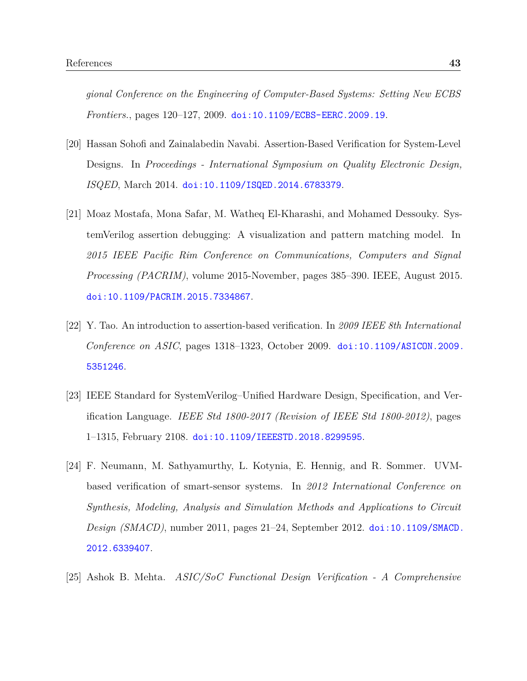*gional Conference on the Engineering of Computer-Based Systems: Setting New ECBS Frontiers.*, pages 120–127, 2009. [doi:10.1109/ECBS-EERC.2009.19](http://dx.doi.org/10.1109/ECBS-EERC.2009.19).

- [20] Hassan Sohofi and Zainalabedin Navabi. Assertion-Based Verification for System-Level Designs. In *Proceedings - International Symposium on Quality Electronic Design, ISQED*, March 2014. [doi:10.1109/ISQED.2014.6783379](http://dx.doi.org/10.1109/ISQED.2014.6783379).
- [21] Moaz Mostafa, Mona Safar, M. Watheq El-Kharashi, and Mohamed Dessouky. SystemVerilog assertion debugging: A visualization and pattern matching model. In *2015 IEEE Pacific Rim Conference on Communications, Computers and Signal Processing (PACRIM)*, volume 2015-November, pages 385–390. IEEE, August 2015. [doi:10.1109/PACRIM.2015.7334867](http://dx.doi.org/10.1109/PACRIM.2015.7334867).
- [22] Y. Tao. An introduction to assertion-based verification. In *2009 IEEE 8th International Conference on ASIC*, pages 1318–1323, October 2009. [doi:10.1109/ASICON.2009.](http://dx.doi.org/10.1109/ASICON.2009.5351246) [5351246](http://dx.doi.org/10.1109/ASICON.2009.5351246).
- [23] IEEE Standard for SystemVerilog–Unified Hardware Design, Specification, and Verification Language. *IEEE Std 1800-2017 (Revision of IEEE Std 1800-2012)*, pages 1–1315, February 2108. [doi:10.1109/IEEESTD.2018.8299595](http://dx.doi.org/10.1109/IEEESTD.2018.8299595).
- [24] F. Neumann, M. Sathyamurthy, L. Kotynia, E. Hennig, and R. Sommer. UVMbased verification of smart-sensor systems. In *2012 International Conference on Synthesis, Modeling, Analysis and Simulation Methods and Applications to Circuit Design (SMACD)*, number 2011, pages 21–24, September 2012. [doi:10.1109/SMACD.](http://dx.doi.org/10.1109/SMACD.2012.6339407) [2012.6339407](http://dx.doi.org/10.1109/SMACD.2012.6339407).
- [25] Ashok B. Mehta. *ASIC/SoC Functional Design Verification A Comprehensive*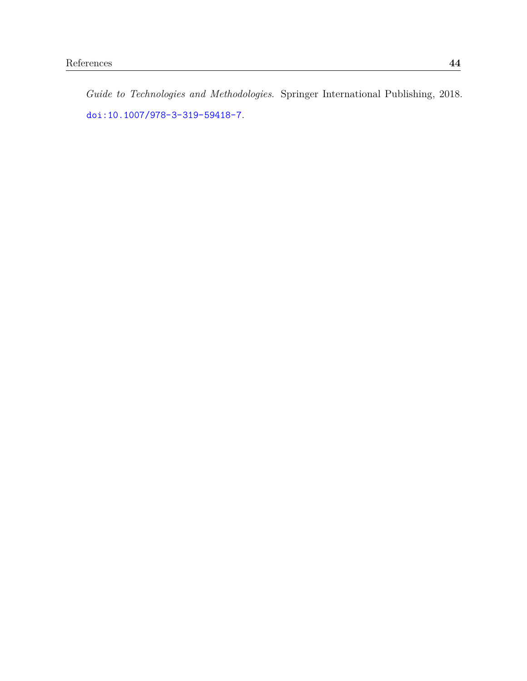*Guide to Technologies and Methodologies*. Springer International Publishing, 2018. [doi:10.1007/978-3-319-59418-7](http://dx.doi.org/10.1007/978-3-319-59418-7).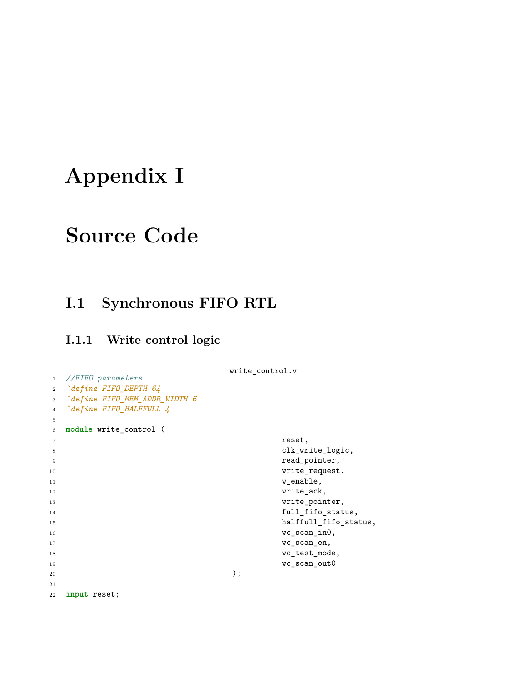# **Appendix I**

# **Source Code**

# **I.1 Synchronous FIFO RTL**

### **I.1.1 Write control logic**

```
write_control.v
1 //FIFO parameters
2 `define FIFO_DEPTH 64
3 `define FIFO_MEM_ADDR_WIDTH 6
4 `define FIFO_HALFFULL 4
5
6 module write_control (
7 reset,
8 clk_write_logic,
9 read_pointer,
10 write_request,
w_enable,
12 write_ack,
13 write_pointer,
14 full_fifo_status,
15 halffull_fifo_status,
16 wc_scan_in0,
17 wc_scan_en,
18 wc_test_mode,
19 wc_scan_out0
20 );
21
22 input reset;
```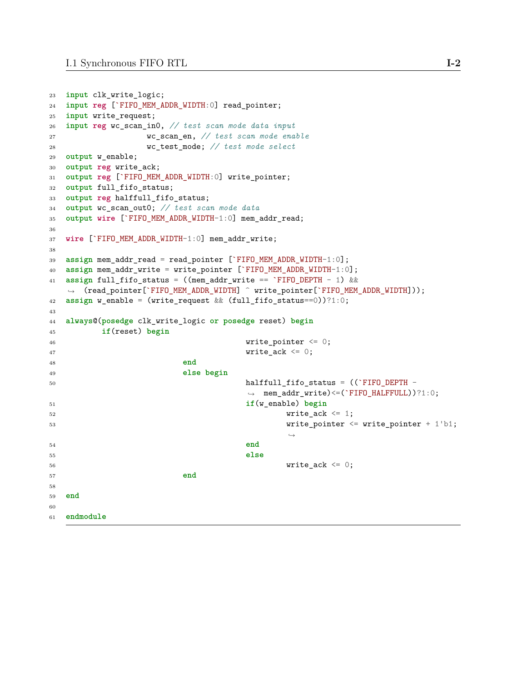```
23 input clk_write_logic;
24 input reg [`FIFO_MEM_ADDR_WIDTH:0] read_pointer;
25 input write_request;
26 input reg wc_scan_in0, // test scan mode data input
27 wc_scan_en, // test scan mode enable
28 wc_test_mode; // test mode select
29 output w_enable;
30 output reg write_ack;
31 output reg [`FIFO_MEM_ADDR_WIDTH:0] write_pointer;
32 output full_fifo_status;
33 output reg halffull_fifo_status;
34 output wc_scan_out0; // test scan mode data
35 output wire [`FIFO_MEM_ADDR_WIDTH-1:0] mem_addr_read;
36
37 wire [`FIFO_MEM_ADDR_WIDTH-1:0] mem_addr_write;
38
39 assign mem_addr_read = read_pointer [`FIFO_MEM_ADDR_WIDTH-1:0];
40 assign mem_addr_write = write_pointer [`FIFO_MEM_ADDR_WIDTH-1:0];
41 assign full_fifo_status = ((mem_addr_write == `FIFO_DEPTH - 1) &&
   ,→ (read_pointer[`FIFO_MEM_ADDR_WIDTH] ^ write_pointer[`FIFO_MEM_ADDR_WIDTH]));
42 assign w_enable = (write_request && (full_fifo_status==0))?1:0;
43
44 always@(posedge clk_write_logic or posedge reset) begin
45 if(reset) begin
46 write_pointer \leq 0;
47 write_ack \leq 0;
48 end
49 else begin
50 halffull_fifo_status = ((`FIFO_DEPTH -
                               ,→ mem_addr_write)<=(`FIFO_HALFFULL))?1:0;
51 if(w_enable) begin
52 write ack \leq 1;
53 write_pointer <= write_pointer + 1'b1;
                                      ,→
54 end
55 else
56 write ack \leq 0;
57 end
58
59 end
60
61 endmodule
```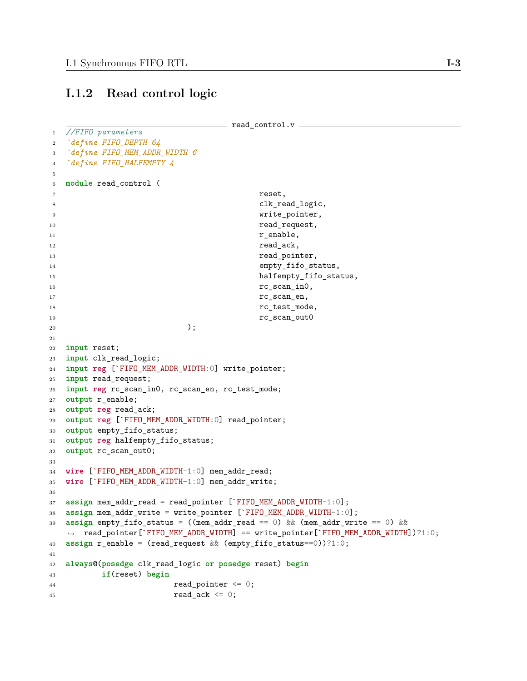### **I.1.2 Read control logic**

```
- read_control.v -1 //FIFO parameters
2 `define FIFO_DEPTH 64
3 `define FIFO_MEM_ADDR_WIDTH 6
4 `define FIFO_HALFEMPTY 4
5
6 module read_control (
7 reset,
8 clk_read_logic,
9 write_pointer,
10 read_request,
r<sub>enable</sub>,
12 read_ack,
13 read_pointer,
14 empty_fifo_status,
15 halfempty_fifo_status,
16 rc_scan_in0,
17 rc_scan_en,
18 rc_test_mode,
19 rc_scan_out0
20 );
21
22 input reset;
23 input clk_read_logic;
24 input reg [`FIFO_MEM_ADDR_WIDTH:0] write_pointer;
25 input read_request;
26 input reg rc_scan_in0, rc_scan_en, rc_test_mode;
27 output r_enable;
28 output reg read_ack;
29 output reg [`FIFO_MEM_ADDR_WIDTH:0] read_pointer;
30 output empty_fifo_status;
31 output reg halfempty_fifo_status;
32 output rc_scan_out0;
33
34 wire [`FIFO_MEM_ADDR_WIDTH-1:0] mem_addr_read;
35 wire [`FIFO_MEM_ADDR_WIDTH-1:0] mem_addr_write;
36
37 assign mem_addr_read = read_pointer [`FIFO_MEM_ADDR_WIDTH-1:0];
38 assign mem_addr_write = write_pointer [`FIFO_MEM_ADDR_WIDTH-1:0];
39 assign empty_fifo_status = ((mem_addr_read == 0) && (mem_addr_write == 0) &&
  ,→ read_pointer[`FIFO_MEM_ADDR_WIDTH] == write_pointer[`FIFO_MEM_ADDR_WIDTH])?1:0;
40 assign r_enable = (read_request && (empty_fifo_status==0))?1:0;
41
42 always@(posedge clk_read_logic or posedge reset) begin
43 if(reset) begin
44 read_pointer \leq 0;
45 read ack \leq 0;
```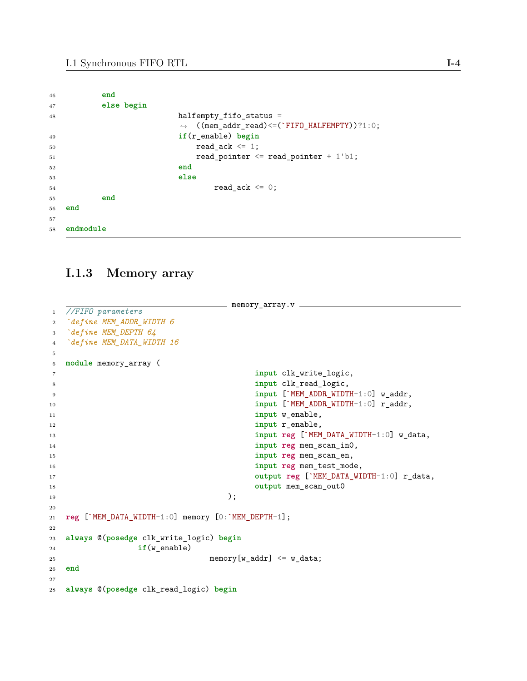| 46          | end        |                                                                                        |
|-------------|------------|----------------------------------------------------------------------------------------|
| 47          | else begin |                                                                                        |
| 48          |            | halfempty fifo status $=$<br>$\rightarrow$ ((mem_addr_read) <= (`FIFO_HALFEMPTY))?1:0; |
| 49          |            | $if(r_{endb})$ begin                                                                   |
| 50          |            | read ack $\leq 1$ ;                                                                    |
| 51          |            | read pointer $\leq$ read pointer + 1'b1;                                               |
| $^{\rm 52}$ |            | end                                                                                    |
| 53          |            | else                                                                                   |
| 54          |            | read ack $\leq 0$ ;                                                                    |
| 55          | end        |                                                                                        |
| 56          | end        |                                                                                        |
| 57          |            |                                                                                        |
| 58          | endmodule  |                                                                                        |

### **I.1.3 Memory array**

```
memory_array.v —
1 //FIFO parameters
2 `define MEM_ADDR_WIDTH 6
3 `define MEM_DEPTH 64
4 `define MEM_DATA_WIDTH 16
5
6 module memory_array (
7 input clk_write_logic,
8 input clk_read_logic,
9 input [`MEM_ADDR_WIDTH-1:0] w_addr,
10 input [`MEM_ADDR_WIDTH-1:0] \mathbf{r}\_\text{addr},
11 input w_enable,
12 input r_enable,
13 input reg [`MEM_DATA_WIDTH-1:0] w_data,
14 input reg mem_scan_in0,
15 input reg mem_scan_en,
16 input reg mem_test_mode,
17 output reg [ MEM_DATA_WIDTH-1:0] \mathbf{r}_\text{data},
18 output mem_scan_out0
\hspace{1.5cm} );
20
21 reg [`MEM_DATA_WIDTH-1:0] memory [0:`MEM_DEPTH-1];
22
23 always @(posedge clk_write_logic) begin
24 if(w_enable)
25 memory[w\_addr] \leq w\_data;
26 end
27
28 always @(posedge clk_read_logic) begin
```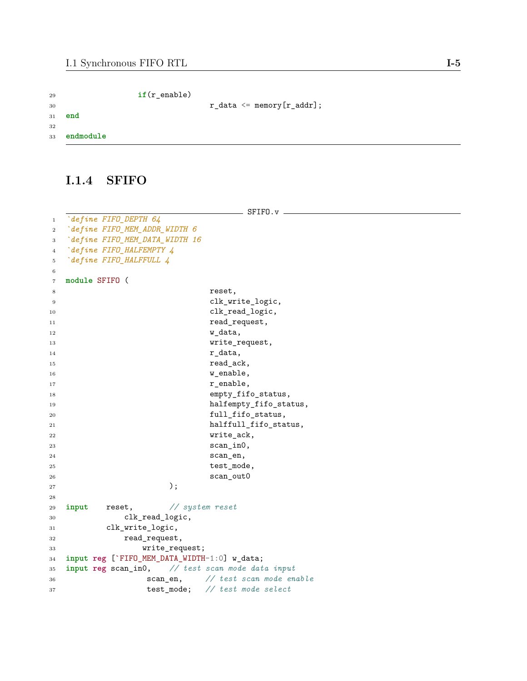| 29 |           | $if(r_{endb})$ |                                                         |
|----|-----------|----------------|---------------------------------------------------------|
| 30 |           |                | $r_{\text{data}} \leq \text{memory}[r_{\text{addr}}]$ ; |
| 31 | end       |                |                                                         |
| 32 |           |                |                                                         |
| 33 | endmodule |                |                                                         |

### **I.1.4 SFIFO**

 $-$  SFIFO.v  $-$  *`define FIFO\_DEPTH 64 `define FIFO\_MEM\_ADDR\_WIDTH 6 `define FIFO\_MEM\_DATA\_WIDTH 16 `define FIFO\_HALFEMPTY 4 `define FIFO\_HALFFULL 4* **module** SFIFO ( 8 reset, 9 clk\_write\_logic, 10 clk\_read\_logic, 11 read\_request, w\_data, 13 write\_request,  $r_{\text{data}}$ , 15 read\_ack, w\_enable,  $$\tt w\_enable$  , r\_enable, 18 empty\_fifo\_status, 19 halfempty\_fifo\_status, 20 full\_fifo\_status, 21 halffull\_fifo\_status, write\_ack, scan\_in0, scan\_en, 25 test\_mode, scan\_out0 ); **input** reset, *// system reset* clk\_read\_logic, clk\_write\_logic, read\_request, write\_request; **input reg** [`FIFO\_MEM\_DATA\_WIDTH-1:0] w\_data; **input reg** scan\_in0, *// test scan mode data input* scan\_en, *// test scan mode enable* test\_mode; *// test mode select*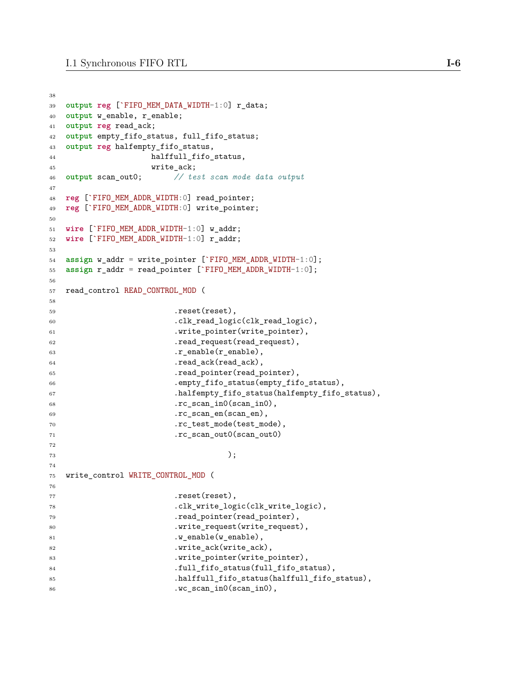```
38
39 output reg [`FIFO_MEM_DATA_WIDTH-1:0] r_data;
40 output w_enable, r_enable;
41 output reg read_ack;
42 output empty_fifo_status, full_fifo_status;
43 output reg halfempty_fifo_status,
44 halffull_fifo_status,
45 write ack;
46 output scan_out0; // test scan mode data output
47
48 reg [`FIFO_MEM_ADDR_WIDTH:0] read_pointer;
49 reg [`FIFO_MEM_ADDR_WIDTH:0] write_pointer;
50
51 wire [`FIFO_MEM_ADDR_WIDTH-1:0] w_addr;
52 wire [`FIFO_MEM_ADDR_WIDTH-1:0] r_addr;
53
54 assign w_addr = write_pointer [`FIFO_MEM_ADDR_WIDTH-1:0];
55 assign r_addr = read_pointer [`FIFO_MEM_ADDR_WIDTH-1:0];
56
57 read control READ CONTROL MOD (
58
59 .reset(reset),
60 .clk_read_logic(clk_read_logic),
61 .write_pointer(write_pointer),
62 .read_request(read_request),
63 \ldots r_{\text{enable}}(r_{\text{enable}}),64 .read_ack(read_ack),
65 .read_pointer(read_pointer),
66 .empty_fifo_status(empty_fifo_status),
67 .halfempty_fifo_status(halfempty_fifo_status),
68 .rc_scan_in0(scan_in0),
69 .rc_scan_en(scan_en),
70 .rc_test_mode(test_mode),
71 .rc_scan_out0(scan_out0)
72
73 );
74
75 write_control WRITE_CONTROL_MOD (
76
77 .reset(reset),
78 .clk_write_logic(clk_write_logic),
79 .read_pointer(read_pointer),
80 .write_request(write_request),
81 .w_enable(w_enable),
82 .write_ack(write_ack),
83 .write_pointer(write_pointer),
84 .full_fifo_status(full_fifo_status),
85 .halffull_fifo_status(halffull_fifo_status),
86 .wc_scan_in0(scan_in0),
```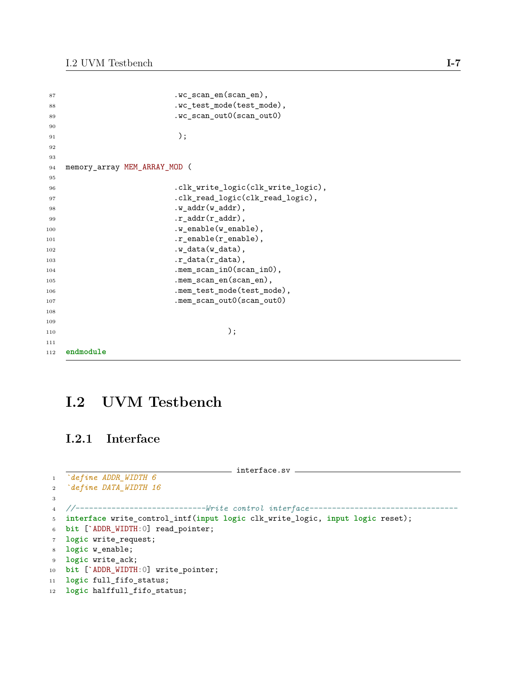| 87  | .wc_scan_en(scan_en),                           |
|-----|-------------------------------------------------|
| 88  | .wc_test_mode(test_mode),                       |
| 89  | .wc_scan_out0(scan_out0)                        |
| 90  |                                                 |
| 91  | $)$ ;                                           |
| 92  |                                                 |
| 93  |                                                 |
| 94  | memory_array MEM_ARRAY_MOD (                    |
| 95  |                                                 |
| 96  | .clk_write_logic(clk_write_logic),              |
| 97  | .clk_read_logic(clk_read_logic),                |
| 98  | $.w\_addr(w\_addr)$ ,                           |
| 99  | $.r\_addr(r\_addr),$                            |
| 100 | $.w_{\text{.}}$ enable $(w_{\text{.}}$ enable), |
| 101 | $.r$ _enable( $r$ _enable),                     |
| 102 | .w_data(w_data),                                |
| 103 | $.r_{data(r_{data})$ ,                          |
| 104 | .mem_scan_in0(scan_in0),                        |
| 105 | .mem_scan_en(scan_en),                          |
| 106 | .mem_test_mode(test_mode),                      |
| 107 | .mem_scan_out0(scan_out0)                       |
| 108 |                                                 |
| 109 |                                                 |
| 110 | );                                              |
| 111 |                                                 |
| 112 | endmodule                                       |

# **I.2 UVM Testbench**

## **I.2.1 Interface**

```
111-1200 interface.sv <u>1000 minutes</u>
1 `define ADDR_WIDTH 6
2 `define DATA_WIDTH 16
3
4 //-----------------------------Write control interface---------------------------------
5 interface write_control_intf(input logic clk_write_logic, input logic reset);
6 bit [`ADDR_WIDTH:0] read_pointer;
7 logic write_request;
8 logic w_enable;
9 logic write_ack;
10 bit [`ADDR_WIDTH:0] write_pointer;
11 logic full_fifo_status;
12 logic halffull_fifo_status;
```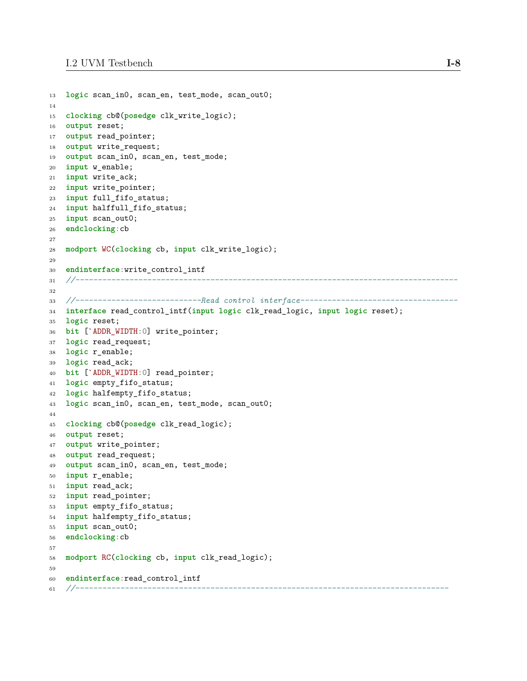```
13 logic scan_in0, scan_en, test_mode, scan_out0;
14
15 clocking cb@(posedge clk_write_logic);
16 output reset;
17 output read_pointer;
18 output write_request;
19 output scan_in0, scan_en, test_mode;
20 input w_enable;
21 input write_ack;
22 input write_pointer;
23 input full_fifo_status;
24 input halffull_fifo_status;
25 input scan_out0;
26 endclocking:cb
27
28 modport WC(clocking cb, input clk_write_logic);
29
30 endinterface:write_control_intf
31 //-------------------------------------------------------------------------------------
32
33 //----------------------------Read control interface-----------------------------------
34 interface read_control_intf(input logic clk_read_logic, input logic reset);
35 logic reset;
36 bit [`ADDR_WIDTH:0] write_pointer;
37 logic read_request;
38 logic r_enable;
39 logic read_ack;
40 bit [`ADDR_WIDTH:0] read_pointer;
41 logic empty_fifo_status;
42 logic halfempty_fifo_status;
43 logic scan_in0, scan_en, test_mode, scan_out0;
44
45 clocking cb@(posedge clk_read_logic);
46 output reset;
47 output write_pointer;
48 output read_request;
49 output scan_in0, scan_en, test_mode;
50 input r_enable;
51 input read_ack;
52 input read_pointer;
53 input empty_fifo_status;
54 input halfempty_fifo_status;
55 input scan_out0;
56 endclocking:cb
57
58 modport RC(clocking cb, input clk_read_logic);
59
60 endinterface:read_control_intf
61 //-----------------------------------------------------------------------------------
```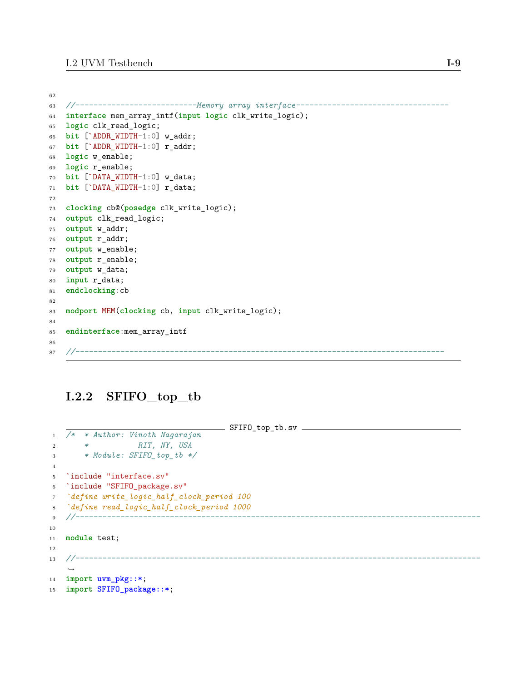```
62
63 //---------------------------Memory array interface----------------------------------
64 interface mem_array_intf(input logic clk_write_logic);
65 logic clk_read_logic;
66 bit [`ADDR_WIDTH-1:0] w_addr;
67 bit [`ADDR_WIDTH-1:0] r_addr;
68 logic w_enable;
69 logic r_enable;
70 bit [`DATA_WIDTH-1:0] w_data;
71 bit [`DATA_WIDTH-1:0] r_data;
72
73 clocking cb@(posedge clk_write_logic);
74 output clk_read_logic;
75 output w_addr;
76 output r_addr;
77 output w_enable;
78 output r_enable;
79 output w_data;
80 input r_data;
81 endclocking:cb
82
83 modport MEM(clocking cb, input clk_write_logic);
84
85 endinterface:mem_array_intf
86
87 //----------------------------------------------------------------------------------
```
### **I.2.2 SFIFO\_top\_tb**

```
SFIFO_top_tb.sv
1 /* * Author: Vinoth Nagarajan
2 * RIT, NY, USA
3 * Module: SFIFO_top_tb */
4
5 `include "interface.sv"
6 `include "SFIFO_package.sv"
7 `define write_logic_half_clock_period 100
8 `define read_logic_half_clock_period 1000
9 //------------------------------------------------------------------------------------------
10
11 module test;
12
13 //------------------------------------------------------------------------------------------
   ,→
14 import uvm_pkg::*;
15 import SFIFO_package::*;
```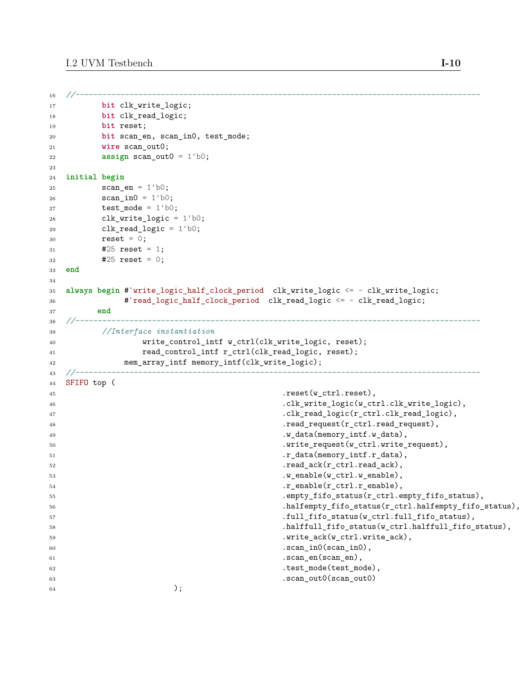```
16 //------------------------------------------------------------------------------------------
17 bit clk_write_logic;
18 bit clk read logic;
19 bit reset;
20 bit scan_en, scan_in0, test_mode;
21 wire scan_out0;
22 assign scan_out0 = 1'b0;
23
24 initial begin
25 scan\_en = 1'b0;26 scan_in0 = 1'b0;27 test_mode = 1'b0;
28 clk_write_logic = 1'b0;
29 clk\_read\_logic = 1'b0;30 reset = 0;
31 #25 reset = 1;
32 #25 reset = 0;
33 end
34
35 always begin #'write logic half clock period clk write logic <= ~ clk write logic;
36 #`read_logic_half_clock_period clk_read_logic <= ~ clk_read_logic;
37 end
38 //------------------------------------------------------------------------------------------
39 //Interface instantiation
40 write_control_intf w_ctrl(clk_write_logic, reset);
41 read_control_intf r_ctrl(clk_read_logic, reset);
42 mem_array_intf memory_intf(clk_write_logic);
43 //------------------------------------------------------------------------------------------
44 SFIFO top (
45 .reset(w_ctrl.reset),
46 .clk_write_logic(w_ctrl.clk_write_logic),
47 .clk read_logic(r_ctrl.clk_read_logic),
48 .read_request(r_ctrl.read_request),
49 .w_data(memory_intf.w_data),
50 .write_request(w_ctrl.write_request),
51 .r_data(memory_intf.r_data),
52 . read ack(r ctrl.read ack),
53 . w_enable(w_ctrl.w_enable),
54 .r_enable(r_ctrl.r_enable),
55 .empty_fifo_status(r_ctrl.empty_fifo_status),
56 .halfempty_fifo_status(r_ctrl.halfempty_fifo_status),
57 .full_fifo_status(w_ctrl.full_fifo_status),
58 .halffull_fifo_status(w_ctrl.halffull_fifo_status),
59 .write_ack(w_ctrl.write_ack),
60 . scan_in0(scan_in0),
\begin{array}{c} 61 \end{array} . scan_en(scan_en),
62 .test_mode(test_mode),
63 . Scan_out0(scan_out0) . Scan_out0(scan_out0) . Scan_out0) . Scan_out0(scan_out0) . Scan_out0) . Scan_out0
64 );
```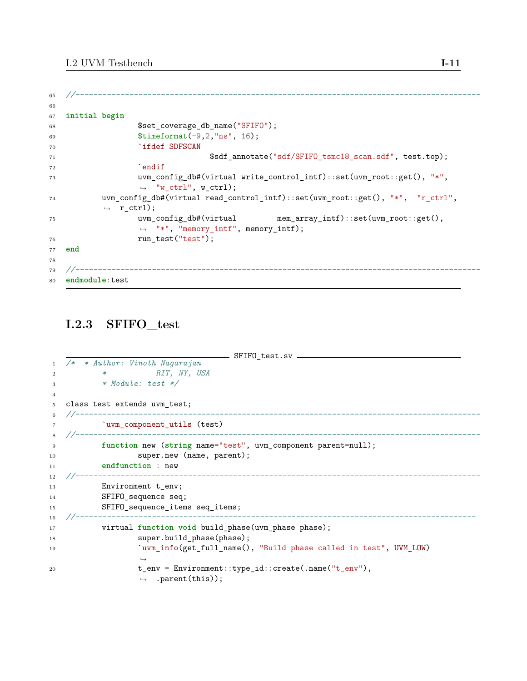```
65 //------------------------------------------------------------------------------------------
66
67 initial begin
68 $set_coverage_db_name("SFIFO");
69 $timeformat(-9,2,"ns", 16);
70 `ifdef SDFSCAN
71 $sdf_annotate("sdf/SFIFO_tsmc18_scan.sdf", test.top);
72 `endif
73 uvm_config_db#(virtual write_control_intf)::set(uvm_root::get(), "*",
                ,→ "w_ctrl", w_ctrl);
74 uvm_config_db#(virtual read_control_intf)::set(uvm_root::get(), "*", "r_ctrl",
          \rightarrow r_ctrl);
75 uvm_config_db#(virtual mem_array_intf)::set(uvm_root::get(),
                ,→ "*", "memory_intf", memory_intf);
76 run test("test");
77 end
78
79 //------------------------------------------------------------------------------------------
80 endmodule:test
```
## **I.2.3 SFIFO\_test**

```
\rule{1em}{0.15mm} SFIFO_test.sv \rule{1em}{0.15mm}1 /* * Author: Vinoth Nagarajan
2 * RIT, NY, USA
3 * Module: test */
4
5 class test extends uvm_test;
6 //------------------------------------------------------------------------------------------
7 `uvm_component_utils (test)
8 //------------------------------------------------------------------------------------------
9 function new (string name="test", uvm_component parent=null);
10 super.new (name, parent);
11 endfunction : new
12 //------------------------------------------------------------------------------------------
13 Environment t_env;
14 SFIFO_sequence seq;
15 SFIFO_sequence_items seq_items;
16 //-----------------------------------------------------------------------------------------
17 virtual function void build_phase(uvm_phase phase);
18 super.build_phase(phase);
19 `uvm_info(get_full_name(), "Build phase called in test", UVM_LOW)
                 ,→
20 t_env = Environment::type_id::create(.name("t_env"),
                 ,→ .parent(this));
```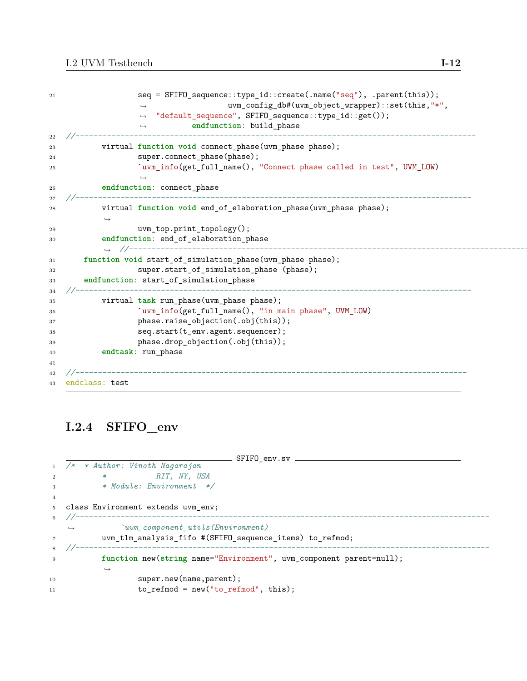```
21 seq = SFIFO_sequence::type_id::create(.name("seq"), .parent(this));
                                    uvm_config_db#(uvm_object_wrapper)::set(this,"*",
                     "default_sequence", SFIFO_sequence::type_id::get());
                     endfunction: build_phase
                  ,→
                  ,→
                  ,→
22 //-----------------------------------------------------------------------------------------
23 virtual function void connect_phase(uvm_phase phase);
24 super.connect_phase(phase);
25 `uvm_info(get_full_name(), "Connect phase called in test", UVM_LOW)
                  ,→
26 endfunction: connect_phase
27 //----------------------------------------------------------------------------------------
28 virtual function void end_of_elaboration_phase(uvm_phase phase);
           ,→
29 uvm_top.print_topology();
30 endfunction: end_of_elaboration_phase
           ,→ //-----------------------------------------------------------------------------------------
31 function void start_of_simulation_phase(uvm_phase phase);
32 super.start_of_simulation_phase (phase);
33 endfunction: start_of_simulation_phase
34 //----------------------------------------------------------------------------------------
35 virtual task run_phase(uvm_phase phase);
36 `uvm_info(get_full_name(), "in main phase", UVM_LOW)
37 phase.raise_objection(.obj(this));
38 seq.start(t_env.agent.sequencer);
39 phase.drop_objection(.obj(this));
40 endtask: run_phase
41
42 //---------------------------------------------------------------------------------------
43 endclass: test
```
### **I.2.4 SFIFO\_env**

```
____ SFIF0_env.sv ___________
1 /* * Author: Vinoth Nagarajan
2 * RIT, NY, USA
3 * Module: Environment */
4
5 class Environment extends uvm_env;
6 //--------------------------------------------------------------------------------------------
   ,→ `uvm_component_utils(Environment)
7 uvm_tlm_analysis_fifo #(SFIFO_sequence_items) to_refmod;
8 //--------------------------------------------------------------------------------------------
9 function new(string name="Environment", uvm_component parent=null);
          ,→
10 super.new(name,parent);
11 to_refmod = new("to_refmod", this);
```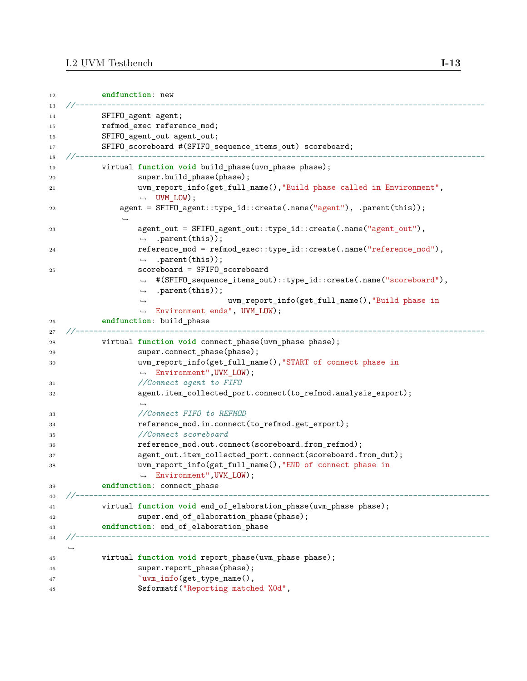```
12 endfunction: new
13 //-------------------------------------------------------------------------------------------
14 SFIFO agent agent;
15 refmod_exec reference_mod;
16 SFIFO_agent_out agent_out;
17 SFIFO_scoreboard #(SFIFO_sequence_items_out) scoreboard;
18 //-------------------------------------------------------------------------------------------
19 virtual function void build_phase(uvm_phase phase);
20 super.build_phase(phase);
21 uvm_report_info(get_full_name(),"Build phase called in Environment",
                 \rightarrow UVM_LOW);
22 agent = SFIFO_agent::type_id::create(.name("agent"), .parent(this));
              ,→
23 agent_out = SFIFO_agent_out::type_id::create(.name("agent_out"),
                 ,→ .parent(this));
24 reference_mod = refmod_exec::type_id::create(.name("reference_mod"),
                 ,→ .parent(this));
25 scoreboard = SFIFO_scoreboard
                  #(SFIFO_sequence_items_out)::type_id::create(.name("scoreboard"),
,→
                    .parent(this));
                                   uvm_report_info(get_full_name(),"Build phase in
                  Environment ends", UVM_LOW);
,→
                 ,→
                 ,→
26 endfunction: build_phase
27 //-------------------------------------------------------------------------------------------
28 virtual function void connect_phase(uvm_phase phase);
29 super.connect_phase(phase);
30 uvm_report_info(get_full_name(),"START of connect phase in
                 ,→ Environment",UVM_LOW);
31 //Connect agent to FIFO
32 agent.item_collected_port.connect(to_refmod.analysis_export);
                 ,→
33 //Connect FIFO to REFMOD
34 reference_mod.in.connect(to_refmod.get_export);
35 //Connect scoreboard
36 reference_mod.out.connect(scoreboard.from_refmod);
37 agent_out.item_collected_port.connect(scoreboard.from_dut);
38 uvm report info(get full name(), "END of connect phase in
                 ,→ Environment",UVM_LOW);
39 endfunction: connect_phase
40 //--------------------------------------------------------------------------------------------
41 virtual function void end_of_elaboration_phase(uvm_phase phase);
42 super.end of elaboration phase(phase);
43 endfunction: end_of_elaboration_phase
44 //--------------------------------------------------------------------------------------------
   ,→
45 virtual function void report_phase(uvm_phase phase);
46 super.report_phase(phase);
47 b vm_info(get_type_name(),
48 $sformatf("Reporting matched %0d",
```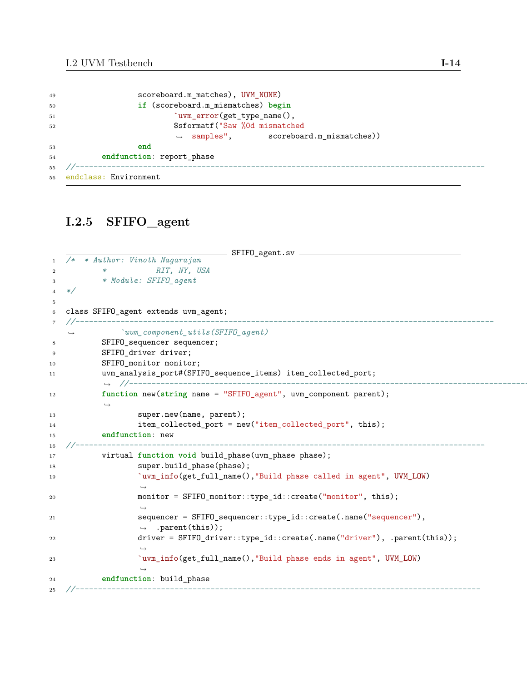| 49 | scoreboard.m_matches), UVM_NONE)                  |
|----|---------------------------------------------------|
| 50 | if (scoreboard.m_mismatches) begin                |
| 51 | 'uvm_error(get_type_name(),                       |
| 52 | \$sformatf("Saw %0d mismatched                    |
|    | $\rightarrow$ samples", scoreboard.m_mismatches)) |
| 53 | end                                               |
| 54 | endfunction: report_phase                         |
| 55 |                                                   |
|    | 56 endclass: Environment                          |

## **I.2.5 SFIFO\_agent**

```
\equiv SFIFO_agent.sv \equiv1 /* * Author: Vinoth Nagarajan
2 * RIT, NY, USA
3 * Module: SFIFO_agent
4 */
5
6 class SFIFO_agent extends uvm_agent;
7 //---------------------------------------------------------------------------------------------
   ,→ `uvm_component_utils(SFIFO_agent)
8 SFIFO sequencer sequencer;
9 SFIFO_driver driver;
10 SFIFO monitor monitor;
11 uvm_analysis_port#(SFIFO_sequence_items) item_collected_port;
           ,→ //--------------------------------------------------------------------------------------------
12 function new(string name = "SFIFO_agent", uvm_component parent);
           ,→
13 super.new(name, parent);
14 item_collected_port = new("item_collected_port", this);
15 endfunction: new
16 //-------------------------------------------------------------------------------------------
17 virtual function void build_phase(uvm_phase phase);
18 super.build_phase(phase);
19 `uvm_info(get_full_name(),"Build phase called in agent", UVM_LOW)
                  ,→
20 monitor = SFIFO_monitor::type_id::create("monitor", this);
                  ,→
21 sequencer = SFIFO_sequencer::type_id::create(.name("sequencer"),
                  ,→ .parent(this));
22 driver = SFIFO_driver::type_id::create(.name("driver"), .parent(this));
                  ,→
23 `uvm_info(get_full_name(),"Build phase ends in agent", UVM_LOW)
                  \hookrightarrow24 endfunction: build_phase
25 //------------------------------------------------------------------------------------------
```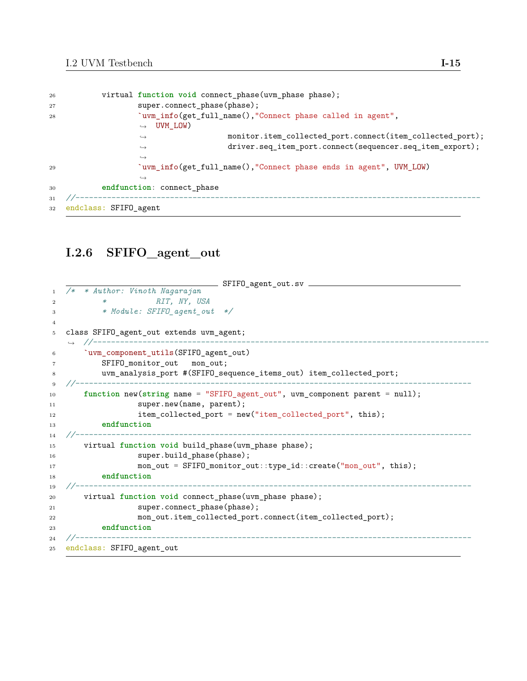```
26 virtual function void connect_phase(uvm_phase phase);
27 super.connect_phase(phase);
28 `uvm_info(get_full_name(),"Connect_phase called in agent",
                  UVM_LOW)
,→
                                   monitor.item_collected_port.connect(item_collected_port);
                                   driver.seq_item_port.connect(sequencer.seq_item_export);
                  ,→
                  ,→
                  ,→
29 `uvm_info(get_full_name(),"Connect phase ends in agent", UVM_LOW)
                  ,→
30 endfunction: connect_phase
31 //------------------------------------------------------------------------------------------
32 endclass: SFIFO_agent
```
### **I.2.6 SFIFO\_agent\_out**

```
SFIFO_agent_out.sv
1 /* * Author: Vinoth Nagarajan
2 * RIT, NY, USA
3 * Module: SFIFO_agent_out */
4
5 class SFIFO_agent_out extends uvm_agent;
   ,→ //----------------------------------------------------------------------------------------
6 `uvm_component_utils(SFIFO_agent_out)
7 SFIFO_monitor_out mon_out;
8 uvm_analysis_port #(SFIFO_sequence_items_out) item_collected_port;
9 //----------------------------------------------------------------------------------------
10 function new(string name = "SFIFO_agent_out", uvm_component parent = null);
11 super.new(name, parent);
12 item_collected_port = new("item_collected_port", this);
13 endfunction
14 //----------------------------------------------------------------------------------------
15 virtual function void build_phase(uvm_phase phase);
16 super.build_phase(phase);
17 mon_out = SFIFO_monitor_out::type_id::create("mon_out", this);
18 endfunction
19 //----------------------------------------------------------------------------------------
20 virtual function void connect_phase(uvm_phase phase);
21 super.connect_phase(phase);
22 mon out.item_collected_port.connect(item_collected_port);
23 endfunction
24 //----------------------------------------------------------------------------------------
25 endclass: SFIFO_agent_out
```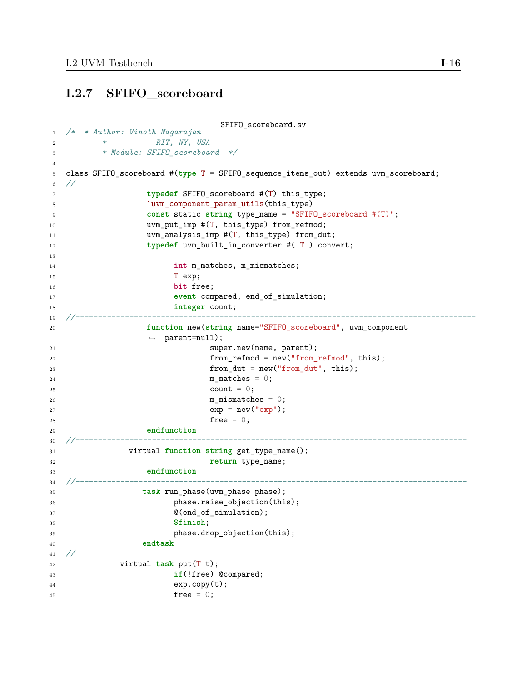### **I.2.7 SFIFO\_scoreboard**

```
- SFIFO_scoreboard.sv -1 /* * Author: Vinoth Nagarajan
2 * RIT, NY, USA
3 * Module: SFIFO_scoreboard */
4
5 class SFIFO_scoreboard #(type T = SFIFO_sequence_items_out) extends uvm_scoreboard;
6 //----------------------------------------------------------------------------------------
7 typedef SFIFO_scoreboard #(T) this_type;
8 `uvm_component_param_utils(this_type)
9 const static string type_name = "SFIFO_scoreboard #(T)";
10 vvm_put_imp #(T, this_type) from_refmod;
11 uvm_analysis_imp #(T, this_type) from_dut;
12 typedef uvm_built_in_converter #( T ) convert;
13
14 int m_matches, m_mismatches;
15 T exp;
16 bit free;
17 event compared, end_of_simulation;
18 integer count;
19 //-----------------------------------------------------------------------------------------
20 function new(string name="SFIFO_scoreboard", uvm_component
              ,→ parent=null);
21 super.new(name, parent);
22 from refmod = new("from refmod", this);
23 from_dut = new("from_dut", this);
24 m_matches = 0;
25 count = 0;
26 m mismatches = 0;
27 exp = new("exp");
28 free = 0;
29 endfunction
30 //---------------------------------------------------------------------------------------
31 virtual function string get_type_name();
32 return type_name;
33 endfunction
34 //---------------------------------------------------------------------------------------
35 task run_phase(uvm_phase phase);
36 phase.raise_objection(this);
37 \mathcal{O}(\text{end_of\_simulation});38 $finish;
39 phase.drop_objection(this);
40 endtask
41 //---------------------------------------------------------------------------------------
42 virtual task put(T t);
43 if(!free) @compared;
44 exp.copy(t);
45 free = 0;
```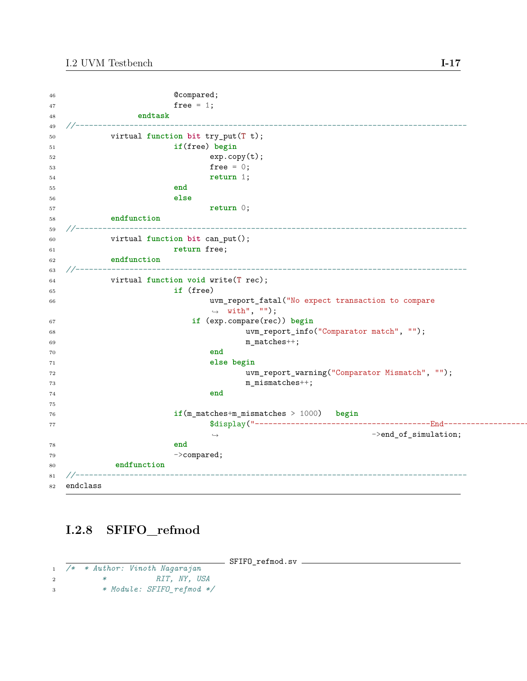| 46     | @compared;                                            |
|--------|-------------------------------------------------------|
| 47     | free = $1$ ;                                          |
| 48     | endtask                                               |
| 49     |                                                       |
| 50     | virtual function bit try_put(T t);                    |
| 51     | if(free) begin                                        |
| 52     | exp.copy(t);                                          |
| 53     | free = $0$ ;                                          |
| 54     | return $1$ ;                                          |
| 55     | end                                                   |
| 56     | else                                                  |
| 57     | return $0$ ;                                          |
| 58     | endfunction                                           |
| 59     |                                                       |
| 60     | virtual function bit can_put();                       |
| 61     | return free;                                          |
| 62     | endfunction                                           |
| 63     |                                                       |
| 64     | virtual function void write(T rec);                   |
| 65     | if (free)                                             |
| 66     | uvm_report_fatal("No expect transaction to compare    |
|        | $\rightarrow$ with", "");                             |
| 67     | if (exp.compare(rec)) begin                           |
| 68     | uvm_report_info("Comparator match", "");              |
| 69     | $m\_matches++;$                                       |
| 70     | end                                                   |
| 71     | else begin                                            |
| $72\,$ | uvm_report_warning("Comparator Mismatch", "");        |
| 73     | $m_m$ ismatches $++$ ;                                |
| 74     | end                                                   |
| 75     |                                                       |
| 76     | $if(m_matrix+m_matrix) = 1000)$ begin                 |
| 77     |                                                       |
|        | $\rightarrow$ end_of_simulation;<br>$\hookrightarrow$ |
| 78     | end                                                   |
| 79     | $\rightarrow$ compared;                               |
| 80     | endfunction                                           |
| 81     |                                                       |
| 82     | endclass                                              |

## **I.2.8 SFIFO\_refmod**

SFIFO\_refmod.sv

```
1 /* * Author: Vinoth Nagarajan
2 * RIT, NY, USA
3 * Module: SFIFO_refmod */
```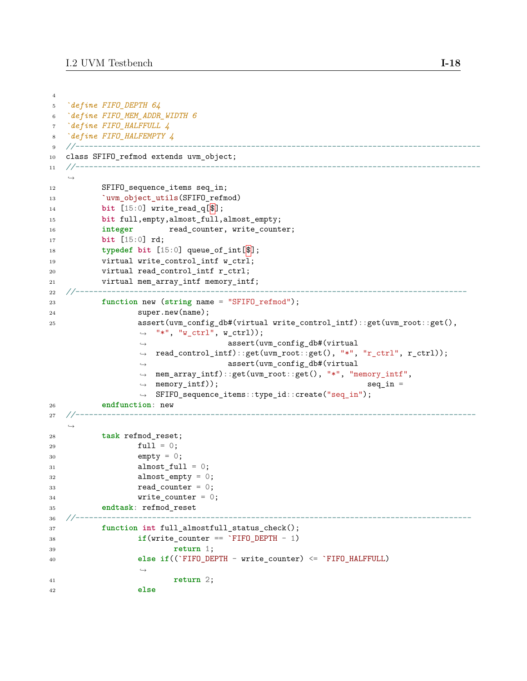```
4
5 `define FIFO_DEPTH 64
6 `define FIFO_MEM_ADDR_WIDTH 6
7 `define FIFO_HALFFULL 4
8 `define FIFO_HALFEMPTY 4
9 //------------------------------------------------------------------------------------------
10 class SFIFO_refmod extends uvm_object;
11 //------------------------------------------------------------------------------------------
   ,→
12 SFIFO_sequence_items seq_in;
13 COMPLATE: Nuvm_object_utils(SFIFO_refmod)
14 bit [15:0] write_read_q[$];
15 bit full,empty,almost_full,almost_empty;
16 integer read_counter, write_counter;
17 bit [15:0] rd;
18 typedef bit [15:0] queue_of_int[$];
19 virtual write_control_intf w_ctrl;
20 virtual read_control_intf r_ctrl;
21 virtual mem_array_intf memory_intf;
22 //---------------------------------------------------------------------------------------
23 function new (string name = "SFIFO_refmod");
24 super.new(name);
25 assert(uvm_config_db#(virtual write_control_intf)::get(uvm_root::get(),
                 → "*", "w_ctrl", w_ctrl));
                                 assert(uvm_config_db#(virtual
                 → read_control_intf)::get(uvm_root::get(), "*", "r_ctrl", r_ctrl));
                                 assert(uvm_config_db#(virtual
                 mem_array_intf)::get(uvm_root::get(), "*", "memory_intf",
,→
                 \rightarrow memory_intf)); seq_in =
                 SFIFO_sequence_items::type_id::create("seq_in");
,→
                 ,→
                 ,→
26 endfunction: new
27 //-----------------------------------------------------------------------------------------
   ,→
28 task refmod_reset;
29 full = 0;
30 empty = 0;
31 almost_full = 0;
32 almost_empty = 0;
33 read_counter = 0;
34 write_counter = 0;
35 endtask: refmod_reset
36 //----------------------------------------------------------------------------------------
37 function int full_almostfull_status_check();
38 if(write_counter == `FIFO_DEPTH - 1)
39 return 1;
40 else if((`FIFO_DEPTH - write_counter) <= `FIFO_HALFFULL)
                 \hookrightarrow41 return 2;
42 else
```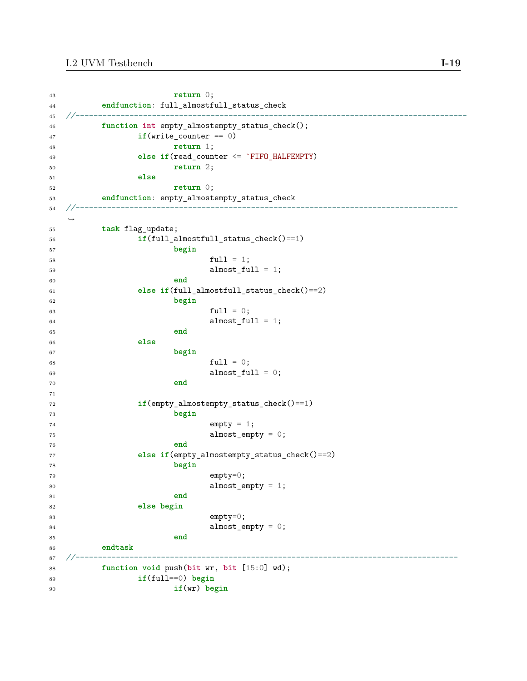```
43 return 0;
44 endfunction: full_almostfull_status_check
45 //---------------------------------------------------------------------------------------
46 function int empty_almostempty_status_check();
47 if(write_counter == 0)
48 return 1;
49 else if(read_counter <= `FIFO_HALFEMPTY)
50 return 2;
51 else
52 return 0;
53 endfunction: empty_almostempty_status_check
54 //-------------------------------------------------------------------------------------
  ,→
55 task flag_update;
56 if(full_almostfull_status_check()==1)
57 begin
58 full = 1;
59 almost_full = 1;
60 end
61 else if(full_almostfull_status_check()==2)
62 begin
63 full = 0;64 almost_full = 1;
65 end
66 else
67 begin
68 full = 0;69 \text{almost} \text{full} = 0;
70 end
71
72 if(empty_almostempty_status_check()==1)
73 begin
74 empty = 1;
75 almost_empty = 0;
76 end
77 else if(empty_almostempty_status_check()==2)
78 begin
79 empty=0;
80 almost_empty = 1;
81 end
82 else begin
83 empty=0;
84 almost_empty = 0;
85 end
86 endtask
87 //-------------------------------------------------------------------------------------
88 function void push(bit wr, bit [15:0] wd);
89 if(full==0) begin
90 if(wr) begin
```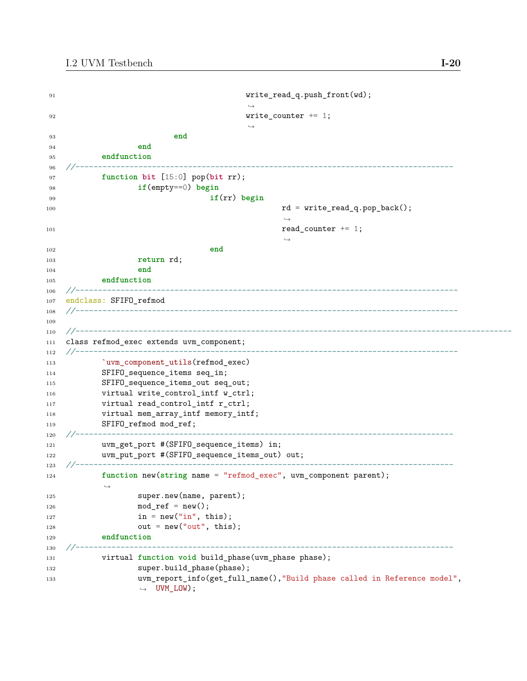```
91 write_read_q.push_front(wd);
                                    ,→
92 write counter + = 1;
                                    ,→
93 end
94 end
95 endfunction
96 //------------------------------------------------------------------------------------
97 function bit [15:0] pop(bit rr);
98 if(empty==0) begin
99 if(rr) begin
100 rd = write_read_q.pop_back();
                                          ,→
101 read_counter + = 1;
                                          ,→
102 end
103 return rd;
104 end
105 endfunction<br>106 //-------------------
106 //-------------------------------------------------------------------------------------
107 endclass: SFIFO_refmod
108 //-------------------------------------------------------------------------------------
109
110 //-------------------------------------------------------------------------------------------------
111 class refmod_exec extends uvm_component;
112 //-------------------------------------------------------------------------------------
113 COMPONET LANSAGE VERGINIS (refmod_exec)
114 SFIFO_sequence_items seq_in;
115 SFIFO_sequence_items_out seq_out;
116 virtual write_control_intf w_ctrl;
117 virtual read_control_intf r_ctrl;
118 virtual mem_array_intf memory_intf;
119 SFIFO_refmod mod_ref;
120 //------------------------------------------------------------------------------------
121 uvm_get_port #(SFIFO_sequence_items) in;
122 uvm_put_port #(SFIFO_sequence_items_out) out;
123 //------------------------------------------------------------------------------------
124 function new(string name = "refmod_exec", uvm_component parent);
          ,→
125 super.new(name, parent);
126 mod_ref = new();
127 in = new("in", this);
128 out = new("out", this);129 endfunction
130 //------------------------------------------------------------------------------------
131 virtual function void build_phase(uvm_phase phase);
132 super.build_phase(phase);
133 uvm_report_info(get_full_name(),"Build phase called in Reference model",
                ,→ UVM_LOW);
```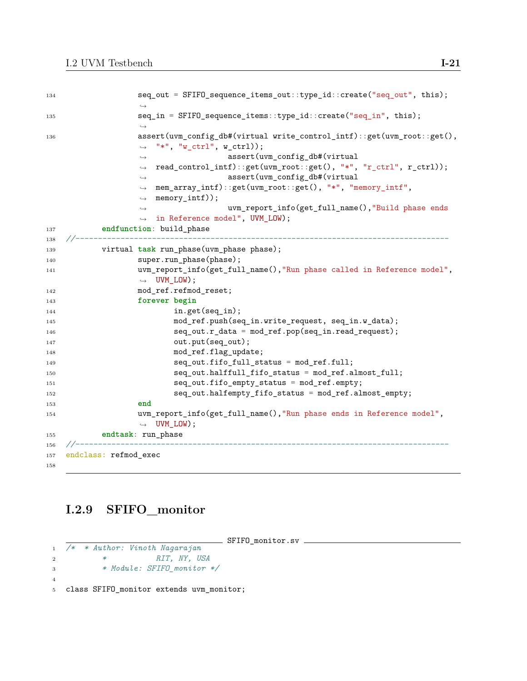| 134 | seq_out = SFIFO_sequence_items_out::type_id::create("seq_out", this);                                                   |
|-----|-------------------------------------------------------------------------------------------------------------------------|
|     | $\hookrightarrow$                                                                                                       |
| 135 | seq_in = SFIFO_sequence_items::type_id::create("seq_in", this);                                                         |
|     | $\hookrightarrow$                                                                                                       |
| 136 | assert(uvm_config_db#(virtual write_control_intf)::get(uvm_root::get(),<br>"*", " $w_c$ ctrl", $w_c$ ctrl));            |
|     | $\hookrightarrow$                                                                                                       |
|     | assert(uvm_config_db#(virtual<br>$\longrightarrow$<br>read_control_intf)::get(uvm_root::get(), "*", "r_ctrl", r_ctrl)); |
|     | $\hookrightarrow$<br>assert(uvm_config_db#(virtual                                                                      |
|     | $\longrightarrow$<br>mem_array_intf)::get(uvm_root::get(), "*", "memory_intf",<br>$\hookrightarrow$                     |
|     | $memory\_intf$ );<br>$\longrightarrow$                                                                                  |
|     | uvm_report_info(get_full_name(),"Build phase ends<br>$\hookrightarrow$                                                  |
|     | in Reference model", UVM_LOW);<br>$\hookrightarrow$                                                                     |
| 137 | endfunction: build_phase                                                                                                |
| 138 |                                                                                                                         |
| 139 | virtual task run_phase(uvm_phase phase);                                                                                |
| 140 | super.run_phase(phase);                                                                                                 |
| 141 | uvm_report_info(get_full_name(),"Run phase called in Reference model",                                                  |
|     | $\rightarrow$ UVM_LOW);                                                                                                 |
| 142 | mod_ref.refmod_reset;                                                                                                   |
| 143 | forever begin                                                                                                           |
| 144 | $in.get(seq_in);$                                                                                                       |
| 145 | mod_ref.push(seq_in.write_request, seq_in.w_data);                                                                      |
| 146 | $seq\_out.r\_data = mod\_ref.pop(seq\_in.read\_request);$                                                               |
| 147 | out.put(seq_out);                                                                                                       |
| 148 | mod_ref.flag_update;                                                                                                    |
| 149 | seq_out.fifo_full_status = mod_ref.full;                                                                                |
| 150 | seq_out.halffull_fifo_status = mod_ref.almost_full;                                                                     |
| 151 | seq_out.fifo_empty_status = mod_ref.empty;                                                                              |
| 152 | seq_out.halfempty_fifo_status = mod_ref.almost_empty;                                                                   |
| 153 | end                                                                                                                     |
| 154 | uvm_report_info(get_full_name(),"Run phase ends in Reference model",<br>$\leftrightarrow$ UVM_LOW);                     |
| 155 | endtask: run_phase                                                                                                      |
| 156 | ---------------------------                                                                                             |
| 157 | endclass: refmod_exec                                                                                                   |
| 158 |                                                                                                                         |

# **I.2.9 SFIFO\_monitor**

SFIFO\_monitor.sv

```
1 /* * Author: Vinoth Nagarajan
2 * RIT, NY, USA
3 * Module: SFIFO_monitor */
4
5 class SFIFO_monitor extends uvm_monitor;
```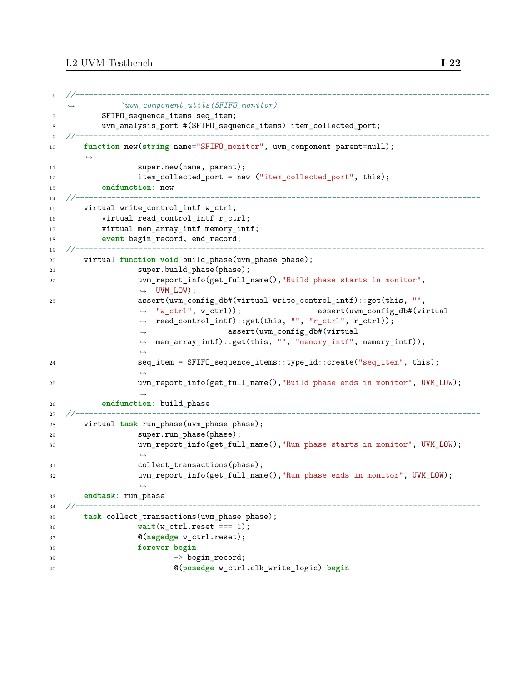```
6 //--------------------------------------------------------------------------------------------
              ,→ `uvm_component_utils(SFIFO_monitor)
7 SFIFO sequence items seq item;
8 uvm_analysis_port #(SFIFO_sequence_items) item_collected_port;
9 //--------------------------------------------------------------------------------------------
10 function new(string name="SFIFO_monitor", uvm_component parent=null);
       ,→
11 super.new(name, parent);
12 item_collected_port = new ("item_collected_port", this);
13 endfunction: new
14 //------------------------------------------------------------------------------------------
15 virtual write_control_intf w_ctrl;
16 virtual read_control_intf r_ctrl;
17 virtual mem_array_intf memory_intf;
18 event begin_record, end_record;
19 //-------------------------------------------------------------------------------------------
20 virtual function void build_phase(uvm_phase phase);
21 super.build_phase(phase);
22 uvm_report_info(get_full_name(),"Build phase starts in monitor",
                  \rightarrow UVM LOW);
23 assert(uvm_config_db#(virtual write_control_intf)::get(this, "",
                                                   assert(uvm_config_db#(virtual
                  → read_control_intf)::get(this, "", "r_ctrl", r_ctrl));
                                   assert(uvm_config_db#(virtual
                  mem_array_intf)::get(this, "", "memory_intf", memory_intf));
,→
                  → "w_ctrl", w_ctrl));
                  ,→
                  ,→
24 seq_item = SFIFO_sequence_items::type_id::create("seq_item", this);
                  ,→
25 uvm_report_info(get_full_name(),"Build phase ends in monitor", UVM_LOW);
                  ,→
26 endfunction: build_phase
27 //------------------------------------------------------------------------------------------
28 virtual task run_phase(uvm_phase phase);
29 super.run_phase(phase);
30 uvm_report_info(get_full_name(),"Run phase starts in monitor", UVM_LOW);
                  ,→
31 collect transactions(phase);
32 uvm_report_info(get_full_name(),"Run phase ends in monitor", UVM_LOW);
                  ,→
33 endtask: run_phase
34 //------------------------------------------------------------------------------------------
35 task collect_transactions(uvm_phase phase);
36 wait(w_ctrl.reset === 1);
37 @(negedge w_ctrl.reset);
38 forever begin
39 -> begin_record;
40 @(posedge w_ctrl.clk_write_logic) begin
```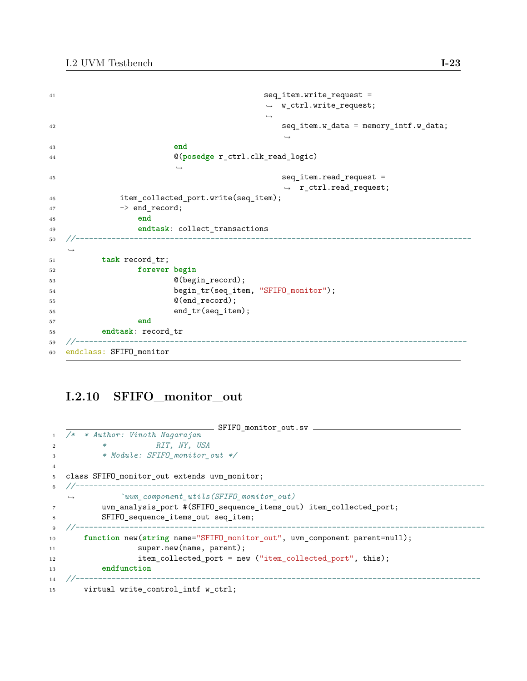```
41 seq_item.write_request =
                              ,→ w_ctrl.write_request;
                              ,→
42 seq_item.w_data = memory_intf.w_data;
                                 ,→
43 end
44 @(posedge r_ctrl.clk_read_logic)
                  ,→
45 seq_item.read_request =
                                 ,→ r_ctrl.read_request;
46 item_collected_port.write(seq_item);
47 -> end_record;
48 end
49 endtask: collect_transactions
50 //----------------------------------------------------------------------------------------
  ,→
51 task record_tr;
52 forever begin
53 @(begin_record);
54 begin_tr(seq_item, "SFIFO_monitor");
55 @(end_record);
56 end_tr(seq_item);
57 end
58 endtask: record_tr
59 //---------------------------------------------------------------------------------------
60 endclass: SFIFO_monitor
```
### **I.2.10 SFIFO\_monitor\_out**

```
SFIFO_monitor_out.sv
1 /* * Author: Vinoth Nagarajan
2 * RIT, NY, USA
3 * Module: SFIFO_monitor_out */
4
5 class SFIFO_monitor_out extends uvm_monitor;
6 //-------------------------------------------------------------------------------------------
   ,→ `uvm_component_utils(SFIFO_monitor_out)
7 uvm_analysis_port #(SFIFO_sequence_items_out) item_collected_port;
8 SFIFO sequence items out seq item;
9 //-------------------------------------------------------------------------------------------
10 function new(string name="SFIFO_monitor_out", uvm_component parent=null);
11 super.new(name, parent);
12 item_collected_port = new ("item_collected_port", this);
13 endfunction
14 //------------------------------------------------------------------------------------------
15 virtual write_control_intf w_ctrl;
```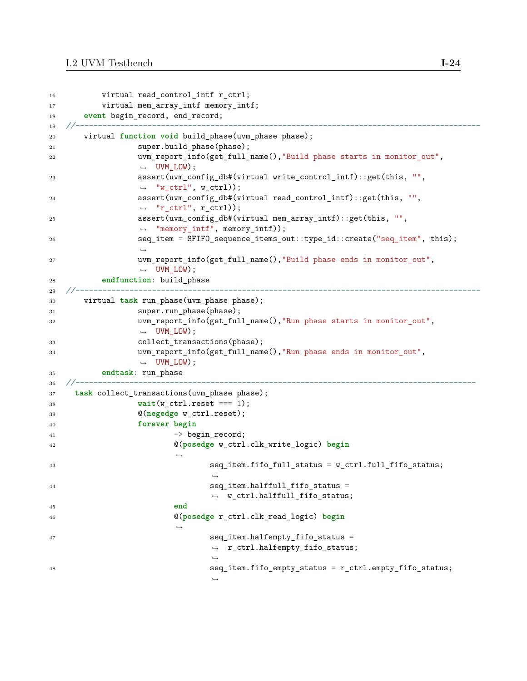```
16 virtual read_control_intf r_ctrl;
17 virtual mem_array_intf memory_intf;
18 event begin record, end record;
19 //------------------------------------------------------------------------------------------
20 virtual function void build_phase(uvm_phase phase);
21 super.build_phase(phase);
22 uvm_report_info(get_full_name(),"Build phase starts in monitor_out",
                \rightarrow UVM LOW);
23 assert(uvm_config_db#(virtual write_control_intf)::get(this, "",
                ,→ "w_ctrl", w_ctrl));
24 assert(uvm_config_db#(virtual read_control_intf)::get(this, "",
                ,→ "r_ctrl", r_ctrl));
25 assert(uvm_config_db#(virtual mem_array_intf)::get(this, "",
                ,→ "memory_intf", memory_intf));
26 seq_item = SFIFO_sequence_items_out::type_id::create("seq_item", this);
                ,→
27 uvm_report_info(get_full_name(),"Build phase ends in monitor_out",
                \rightarrow UVM LOW);
28 endfunction: build_phase
29 //------------------------------------------------------------------------------------------
30 virtual task run_phase(uvm_phase phase);
31 super.run_phase(phase);
32 uvm_report_info(get_full_name(),"Run phase starts in monitor_out",
               ,→ UVM_LOW);
33 collect transactions(phase);
34 uvm_report_info(get_full_name(),"Run phase ends in monitor_out",
                \rightarrow UVM_LOW);
35 endtask: run_phase
36 //-----------------------------------------------------------------------------------------
37 task collect_transactions(uvm_phase phase);
38 wait(w_ctrl.reset === 1);
39 @(negedge w_ctrl.reset);
40 forever begin
41 -> begin_record;
42 @(posedge w_ctrl.clk_write_logic) begin
                      ,→
43 seq item.fifo full status = w ctrl.full fifo status;
                            ,→
44 seq item.halffull fifo status =
                            ,→ w_ctrl.halffull_fifo_status;
45 end
46 @(posedge r_ctrl.clk_read_logic) begin
                      ,→
47 seq_item.halfempty_fifo_status =
                            ,→ r_ctrl.halfempty_fifo_status;
                             ,→
48 seq_item.fifo_empty_status = r_ctrl.empty_fifo_status;
                             ,→
```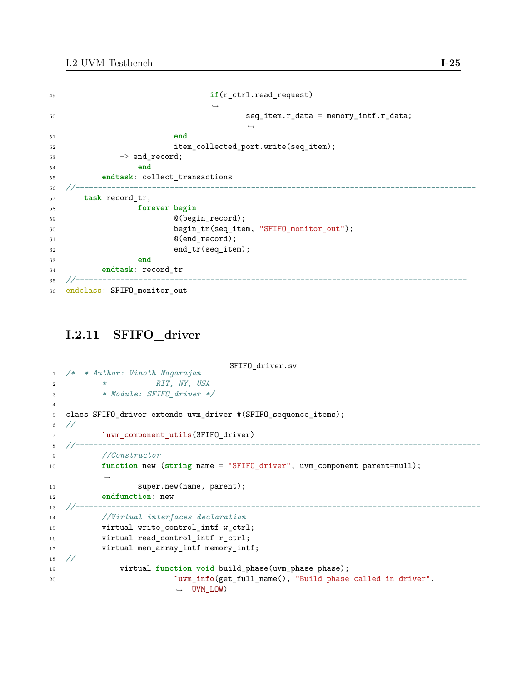| 49     | if (r_ctrl.read_request)                 |
|--------|------------------------------------------|
|        | $\hookrightarrow$                        |
| 50     | $seq$ _item.r_data = memory_intf.r_data; |
|        | $\hookrightarrow$                        |
| 51     | end                                      |
| 52     | item_collected_port.write(seq_item);     |
| 53     | $\rightarrow$ end_record;                |
| 54     | end                                      |
| 55     | endtask: collect_transactions            |
| 56     |                                          |
| $57\,$ | task record tr;                          |
| 58     | forever begin                            |
| 59     | $@(begin\_record);$                      |
| 60     | begin_tr(seq_item, "SFIFO_monitor_out"); |
| 61     | $@(end_record);$                         |
| 62     | end_tr(seq_item);                        |
| 63     | end                                      |
| 64     | endtask: record_tr                       |
| 65     | --------------                           |
|        | 66 endclass: SFIFO_monitor_out           |

### **I.2.11 SFIFO\_driver**

```
SFIFO_driver.sv
1 /* * Author: Vinoth Nagarajan
2 * RIT, NY, USA
3 * Module: SFIFO_driver */
4
5 class SFIFO_driver extends uvm_driver #(SFIFO_sequence_items);
6 //-------------------------------------------------------------------------------------------
7 `uvm_component_utils(SFIFO_driver)
8 //------------------------------------------------------------------------------------------
9 //Constructor
10 function new (string name = "SFIFO_driver", uvm_component parent=null);
          ,→
11 super.new(name, parent);
12 endfunction: new
13 //------------------------------------------------------------------------------------------
14 //Virtual interfaces declaration
15 virtual write_control_intf w_ctrl;
16 virtual read_control_intf r_ctrl;
17 virtual mem_array_intf memory_intf;
18 //------------------------------------------------------------------------------------------
19 virtual function void build_phase(uvm_phase phase);
20 `uvm_info(get_full_name(), "Build phase called in driver",
                        ,→ UVM_LOW)
```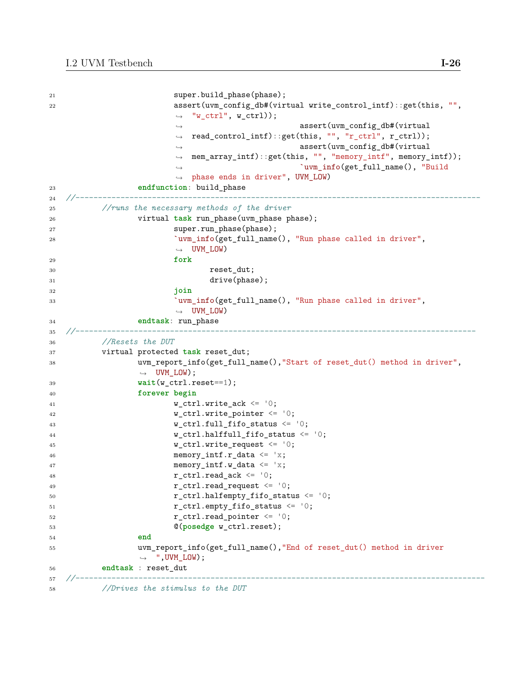```
21 super.build_phase(phase);
22 assert(uvm_config_db#(virtual write_control_intf)::get(this, "",
                        → "w_ctrl", w_ctrl));
                                              assert(uvm_config_db#(virtual
                          read_control_intf)::get(this, "", "r_ctrl", r_ctrl));
                                              assert(uvm_config_db#(virtual
                        mem_array_intf)::get(this, "", "memory_intf", memory_intf));
,→
                                               `uvm_info(get_full_name(), "Build
                        → phase ends in driver", UVM_LOW)
                       ,→
                       ,→
                       ,→
                        ,→
23 endfunction: build_phase
24 //------------------------------------------------------------------------------------------
25 //runs the necessary methods of the driver
26 virtual task run_phase(uvm_phase phase);
27 super.run_phase(phase);
28 `uvm_info(get_full_name(), "Run phase called in driver",
                       ,→ UVM_LOW)
29 fork
30 reset_dut;
31 drive(phase);
32 join
33 `uvm_info(get_full_name(), "Run phase called in driver",
                       ,→ UVM_LOW)
34 endtask: run_phase
35 //-----------------------------------------------------------------------------------------
36 //Resets the DUT
37 virtual protected task reset_dut;
38 uvm_report_info(get_full_name(),"Start of reset_dut() method in driver",
                 ,→ UVM_LOW);
39 wait(w_ctrl.reset==1);
40 forever begin
41 w ctrl.write ack \leftarrow '0;
42 w_ctrl.write_pointer <= '0;
43 w_cctrl.full_fifo_status \leq '0;
44 w_ctrl.halffull_fifo_status <= '0;
45 w_ctrl.write_request <= '0;
46 memory_intf.r_data \leq 'x;
47 memory intf.w data \leq 'x;
48 r_{\text{ctrl} \cdot \text{read\_ack}} \leftarrow '0;49 r ctrl.read request \langle = | 0; \rangle50 r_{ctrl}, r_{ctrl}, r_{ctrl}, r_{ctrl}, r_{ctrl}, r_{ctrl}, r_{ctrl}, r_{ctrl}, r_{ctrl}, r_{ctrl}, r_{ctrl}, r_{ctrl}, r_{ctrl}, r_{ctrl}, r_{ctrl}, r_{ctrl}, r_{ctrl}, r_{ctrl}, r_{ctrl}, r_{ctrl}, r_{ctrl}, r_{ctrl}, r_{ctrl}, r_{ctrl}, r_{ctrl}, r_{ctrl}, r_{ctrl}, r_{51 r_c trl. empty_fifo_status \leq 0;
52 r ctrl.read pointer \leq '0;
53 @(posedge w_ctrl.reset);
54 end
55 uvm_report_info(get_full_name(),"End of reset_dut() method in driver
                ,→ ",UVM_LOW);
56 endtask : reset_dut
57 //-------------------------------------------------------------------------------------------
```
<sup>58</sup> *//Drives the stimulus to the DUT*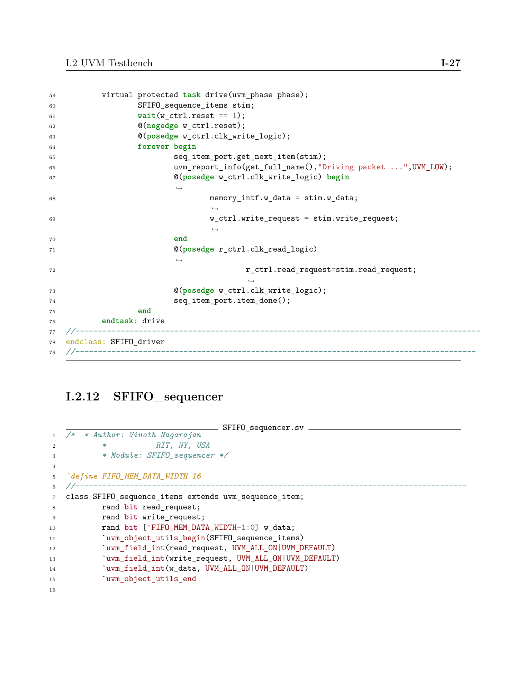```
59 virtual protected task drive(uvm_phase phase);
60 SFIFO_sequence_items stim;
wait(w_c, ctrl.reset == 1);62 @(negedge w_ctrl.reset);
63 @(posedge w_ctrl.clk_write_logic);
64 forever begin
65 seq_item_port.get_next_item(stim);
66 uvm_report_info(get_full_name(),"Driving packet ...",UVM_LOW);
67 @(posedge w_ctrl.clk_write_logic) begin
                       ,→
68 memory_intf.w_data = stim.w_data;
                              ,→
69 w_ctrl.write_request = stim.write_request;
                              ,→
70 end
71 @(posedge r_ctrl.clk_read_logic)
                       ,→
The state of the contraction of the contraction of the contraction of the contraction of the contraction of the contraction of the contraction of the contraction of the contraction of the contraction of the contraction of 
                                     ,→
73 @(posedge w_ctrl.clk_write_logic);
74 seq_item_port.item_done();
75 end
76 endtask: drive
77 //------------------------------------------------------------------------------------------
78 endclass: SFIFO_driver
79 //-----------------------------------------------------------------------------------------
```
### **I.2.12 SFIFO\_sequencer**

```
\_ SFIFO_sequencer.sv \_1 /* * Author: Vinoth Nagarajan
2 * RIT, NY, USA
3 * Module: SFIFO_sequencer */
4
5 `define FIFO_MEM_DATA_WIDTH 16
6 //---------------------------------------------------------------------------------------
7 class SFIFO_sequence_items extends uvm_sequence_item;
8 rand bit read_request;
9 rand bit write request;
10 rand bit [`FIFO_MEM_DATA_WIDTH-1:0] w_data;
11 `uvm_object_utils_begin(SFIFO_sequence_items)
12 `uvm_field_int(read_request, UVM_ALL_ON|UVM_DEFAULT)
13 `uvm_field_int(write_request, UVM_ALL_ON|UVM_DEFAULT)
14 `uvm_field_int(w_data, UVM_ALL_ON|UVM_DEFAULT)
15 `uvm_object_utils_end
16
```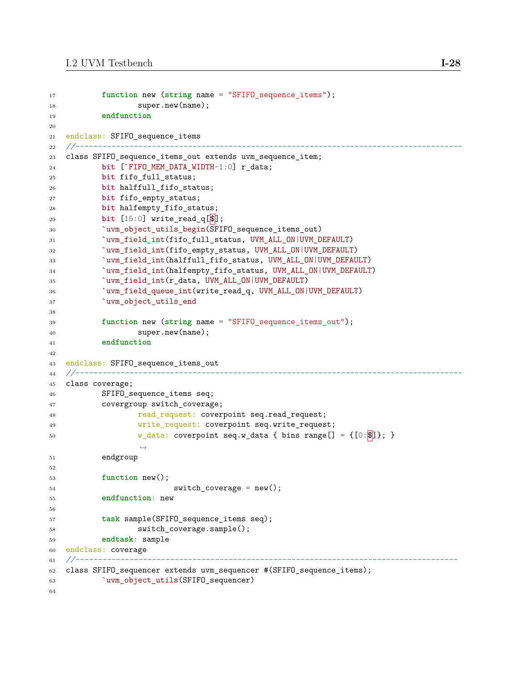```
17 function new (string name = "SFIFO_sequence_items");
18 super.new(name);
19 endfunction
20
21 endclass: SFIFO_sequence_items<br>22 //--------------------------------
22 //--------------------------------------------------------------------------------------
23 class SFIFO_sequence_items_out extends uvm_sequence_item;
24 bit [`FIFO_MEM_DATA_WIDTH-1:0] r_data;
25 bit fifo_full_status;
26 bit halffull_fifo_status;
27 bit fifo_empty_status;
28 bit halfempty_fifo_status;
29 bit [15:0] write_read_q[$];
30 `uvm_object_utils_begin(SFIFO_sequence_items_out)
31 `uvm_field_int(fifo_full_status, UVM_ALL_ON|UVM_DEFAULT)
32 `uvm_field_int(fifo_empty_status, UVM_ALL_ON|UVM_DEFAULT)
33 `uvm_field_int(halffull_fifo_status, UVM_ALL_ON|UVM_DEFAULT)
34 `uvm_field_int(halfempty_fifo_status, UVM_ALL_ON|UVM_DEFAULT)
35 `uvm_field_int(r_data, UVM_ALL_ON|UVM_DEFAULT)
36 `uvm_field_queue_int(write_read_q, UVM_ALL_ON|UVM_DEFAULT)
37 `uvm_object_utils_end
38
39 function new (string name = "SFIFO_sequence_items_out");
40 super.new(name);
41 endfunction
42
43 endclass: SFIFO_sequence_items_out<br>44 //--------------------------------
44 //--------------------------------------------------------------------------------------
45 class coverage;
46 SFIFO_sequence_items seq;
47 covergroup switch_coverage;
48 read_request: coverpoint seq.read_request;
49 write_request: coverpoint seq.write_request;
50 w_data: coverpoint seq.w_data { bins range[] = \{[0:\$]\}; }
                  ,→
51 endgroup
52
53 function new();
54 switch_coverage = new();
55 endfunction: new
56
57 task sample(SFIFO_sequence_items seq);
58 switch_coverage.sample();
59 endtask: sample
60 endclass: coverage
61 //-------------------------------------------------------------------------------------
62 class SFIFO_sequencer extends uvm_sequencer #(SFIFO_sequence_items);
63 `uvm_object_utils(SFIFO_sequencer)
64
```